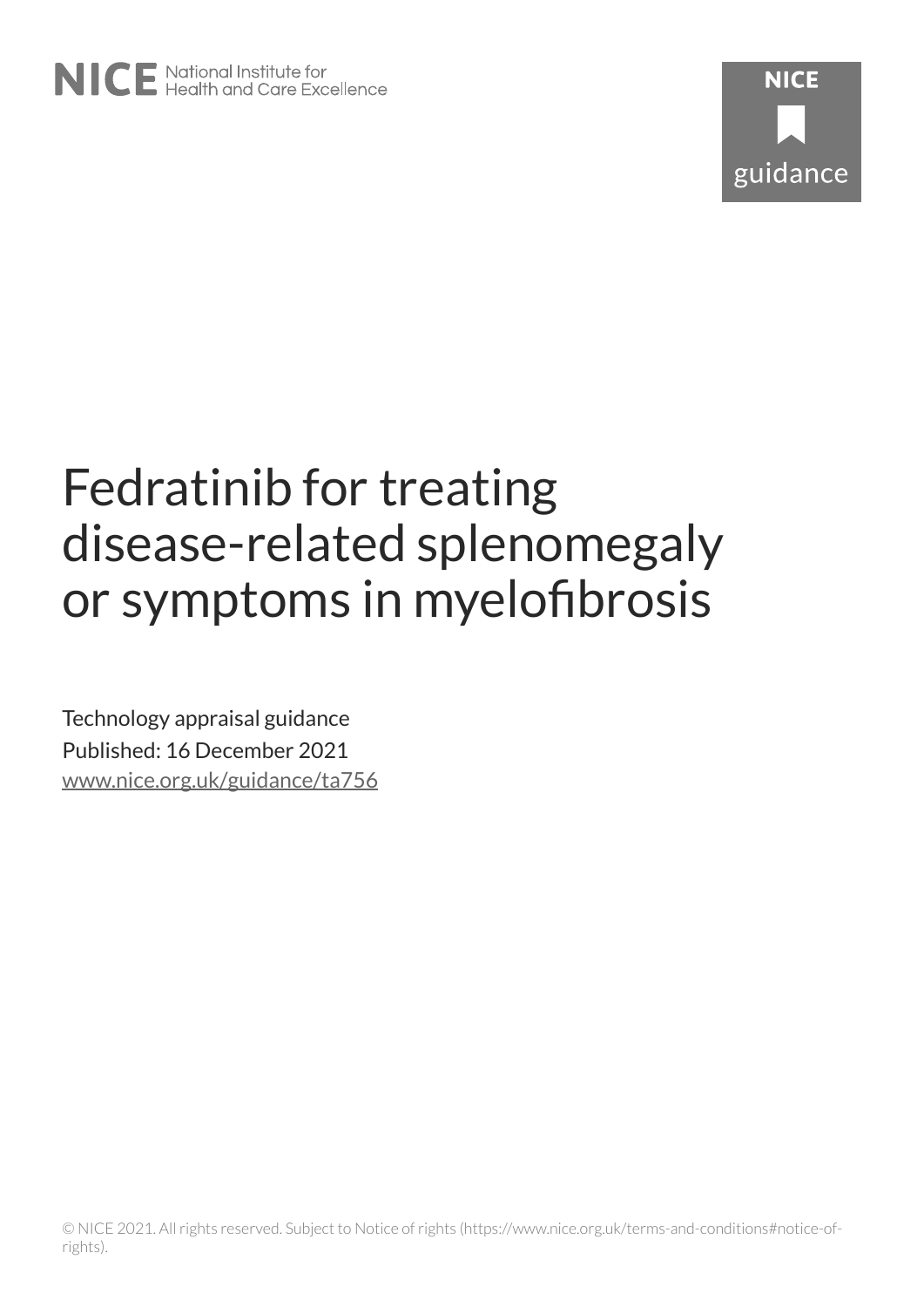

# Fedratinib for treating disease-related splenomegaly or symptoms in myelofibrosis

Technology appraisal guidance Published: 16 December 2021 [www.nice.org.uk/guidance/ta756](https://www.nice.org.uk/guidance/ta756)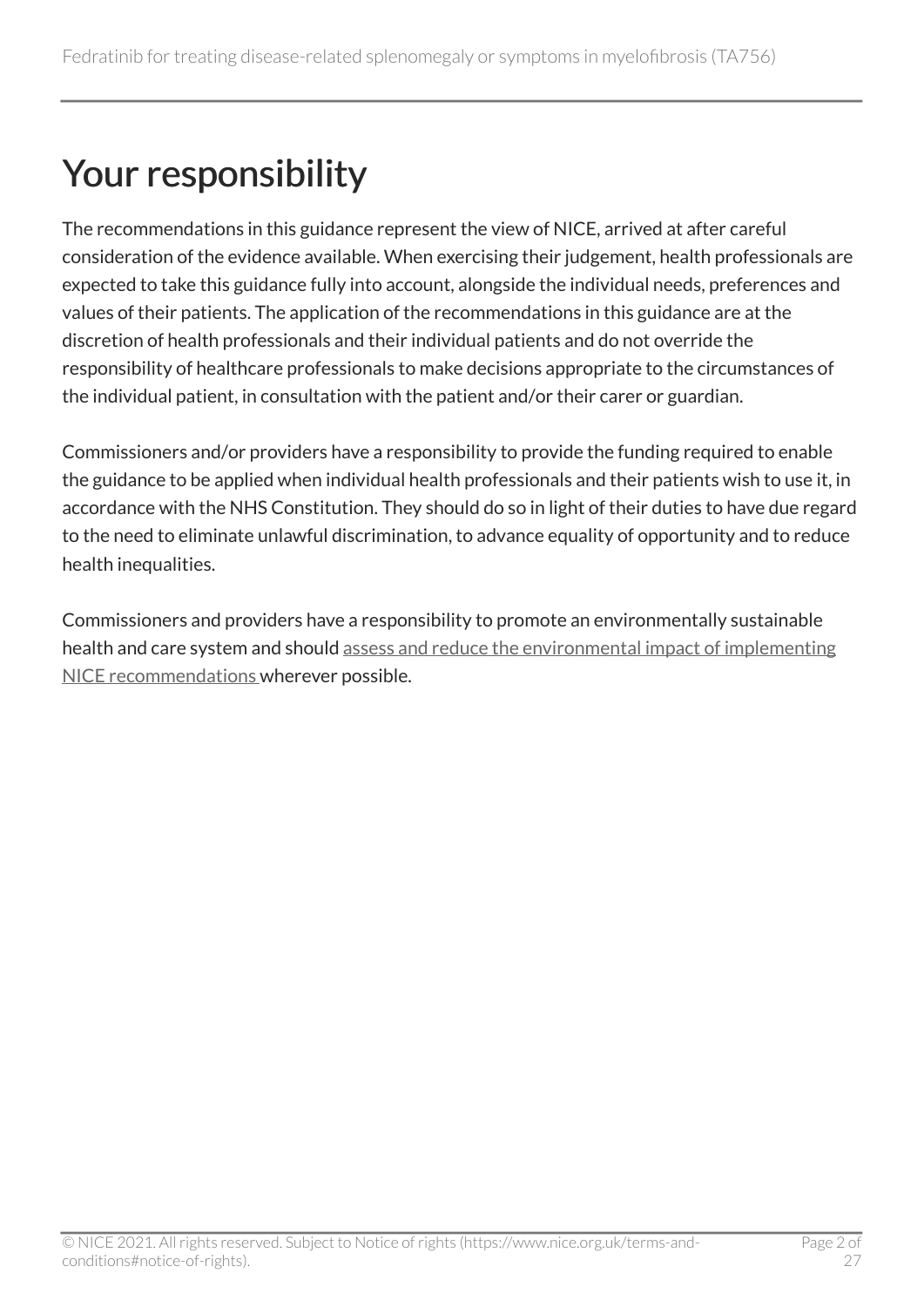## Your responsibility

The recommendations in this guidance represent the view of NICE, arrived at after careful consideration of the evidence available. When exercising their judgement, health professionals are expected to take this guidance fully into account, alongside the individual needs, preferences and values of their patients. The application of the recommendations in this guidance are at the discretion of health professionals and their individual patients and do not override the responsibility of healthcare professionals to make decisions appropriate to the circumstances of the individual patient, in consultation with the patient and/or their carer or guardian.

Commissioners and/or providers have a responsibility to provide the funding required to enable the guidance to be applied when individual health professionals and their patients wish to use it, in accordance with the NHS Constitution. They should do so in light of their duties to have due regard to the need to eliminate unlawful discrimination, to advance equality of opportunity and to reduce health inequalities.

Commissioners and providers have a responsibility to promote an environmentally sustainable health and care system and should [assess and reduce the environmental impact of implementing](https://www.nice.org.uk/about/who-we-are/sustainability)  [NICE recommendations w](https://www.nice.org.uk/about/who-we-are/sustainability)herever possible.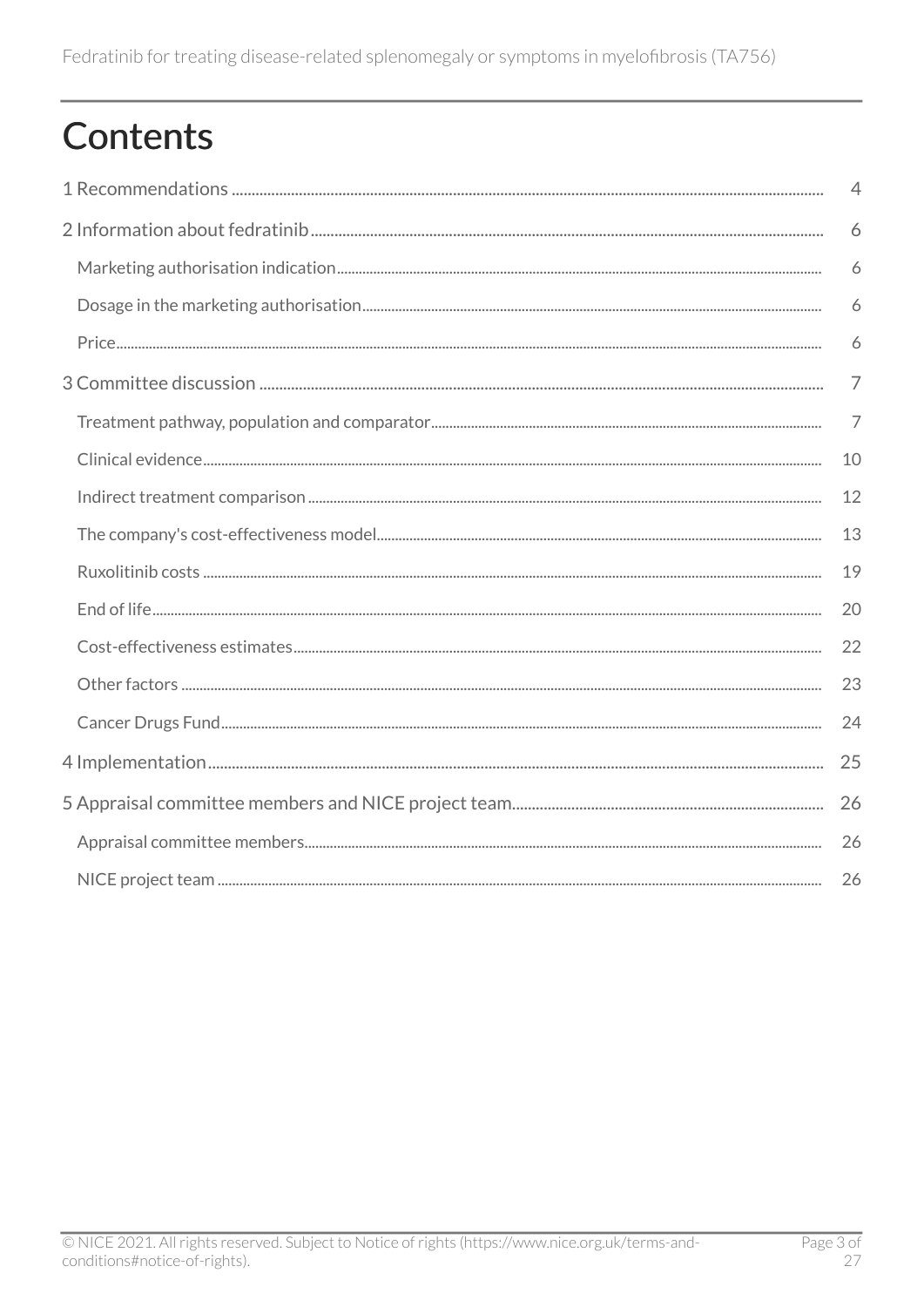## Contents

| $\overline{4}$ |
|----------------|
| 6              |
| 6              |
| 6              |
| 6              |
| $\overline{7}$ |
| $\overline{7}$ |
| 10             |
| 12             |
| 13             |
| 19             |
| 20             |
| 22             |
| 23             |
| 24             |
| 25             |
| 26             |
| 26             |
| 26             |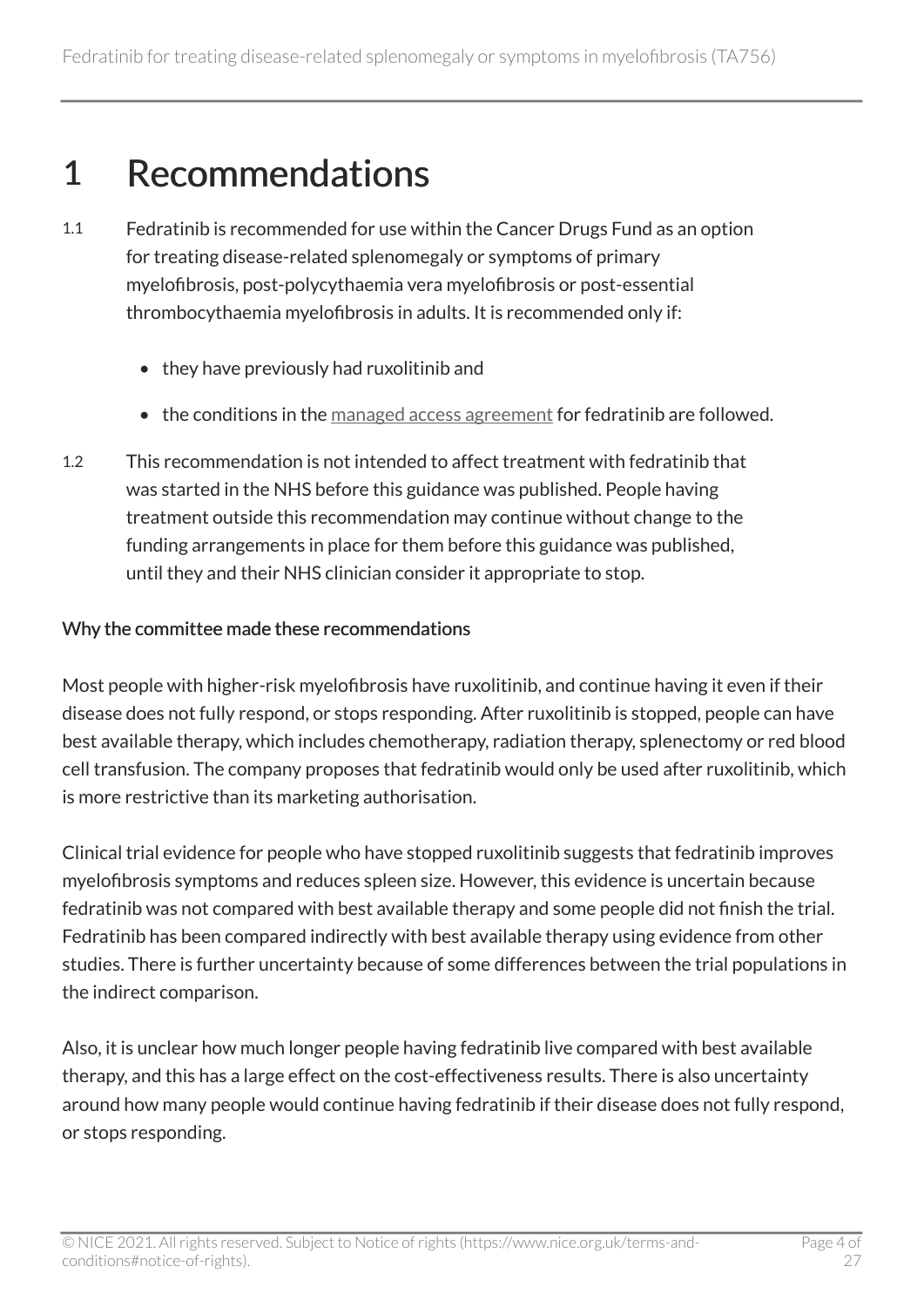## <span id="page-3-0"></span>1 Recommendations

- 1.1 Fedratinib is recommended for use within the Cancer Drugs Fund as an option for treating disease-related splenomegaly or symptoms of primary myelofibrosis, post-polycythaemia vera myelofibrosis or post-essential thrombocythaemia myelofibrosis in adults. It is recommended only if:
	- they have previously had ruxolitinib and
	- the conditions in the [managed access agreement](https://www.nice.org.uk/guidance/ta756/resources) for fedratinib are followed.
- 1.2 This recommendation is not intended to affect treatment with fedratinib that was started in the NHS before this guidance was published. People having treatment outside this recommendation may continue without change to the funding arrangements in place for them before this guidance was published, until they and their NHS clinician consider it appropriate to stop.

#### Why the committee made these recommendations

Most people with higher-risk myelofibrosis have ruxolitinib, and continue having it even if their disease does not fully respond, or stops responding. After ruxolitinib is stopped, people can have best available therapy, which includes chemotherapy, radiation therapy, splenectomy or red blood cell transfusion. The company proposes that fedratinib would only be used after ruxolitinib, which is more restrictive than its marketing authorisation.

Clinical trial evidence for people who have stopped ruxolitinib suggests that fedratinib improves myelofibrosis symptoms and reduces spleen size. However, this evidence is uncertain because fedratinib was not compared with best available therapy and some people did not finish the trial. Fedratinib has been compared indirectly with best available therapy using evidence from other studies. There is further uncertainty because of some differences between the trial populations in the indirect comparison.

Also, it is unclear how much longer people having fedratinib live compared with best available therapy, and this has a large effect on the cost-effectiveness results. There is also uncertainty around how many people would continue having fedratinib if their disease does not fully respond, or stops responding.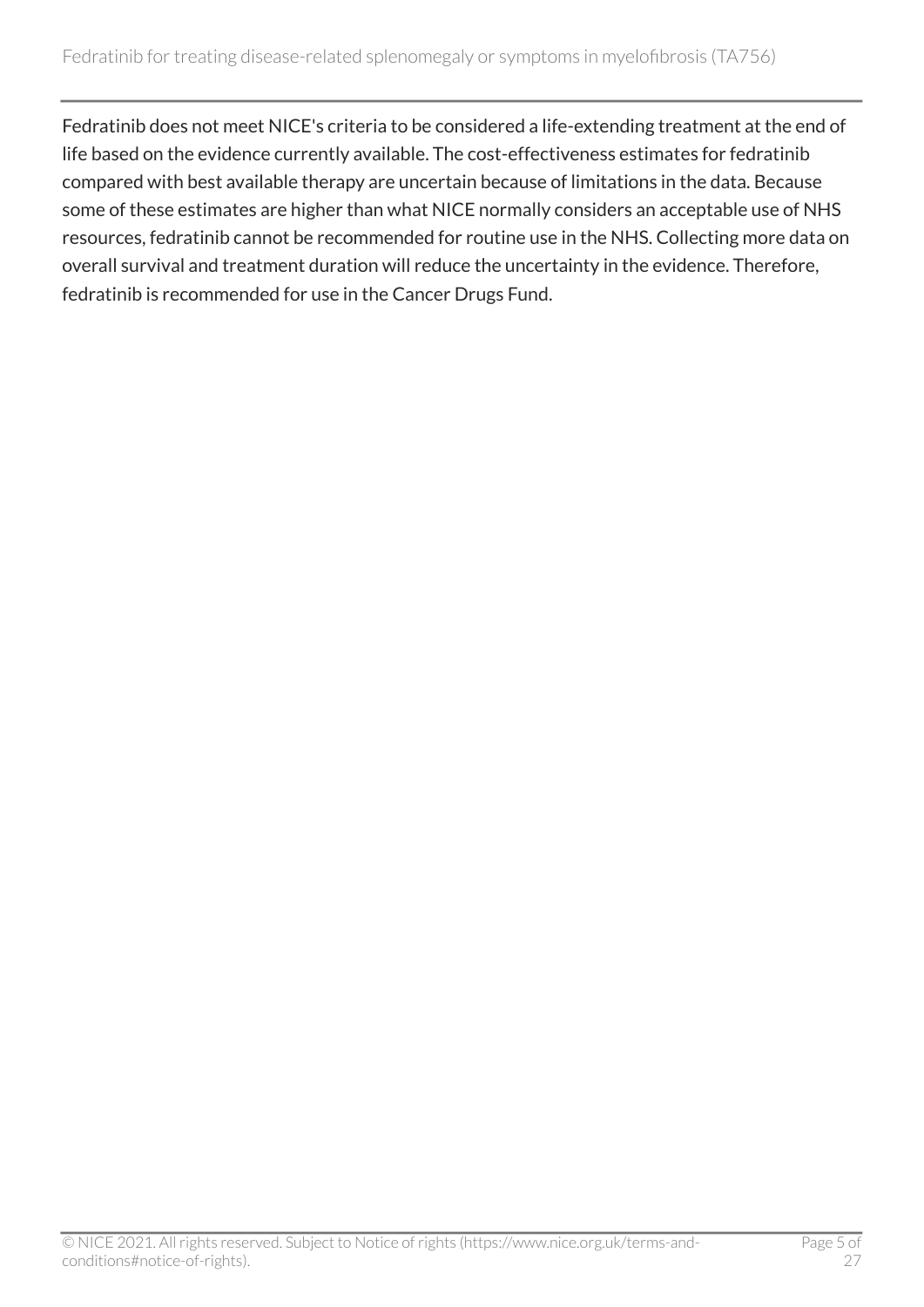Fedratinib does not meet NICE's criteria to be considered a life-extending treatment at the end of life based on the evidence currently available. The cost-effectiveness estimates for fedratinib compared with best available therapy are uncertain because of limitations in the data. Because some of these estimates are higher than what NICE normally considers an acceptable use of NHS resources, fedratinib cannot be recommended for routine use in the NHS. Collecting more data on overall survival and treatment duration will reduce the uncertainty in the evidence. Therefore, fedratinib is recommended for use in the Cancer Drugs Fund.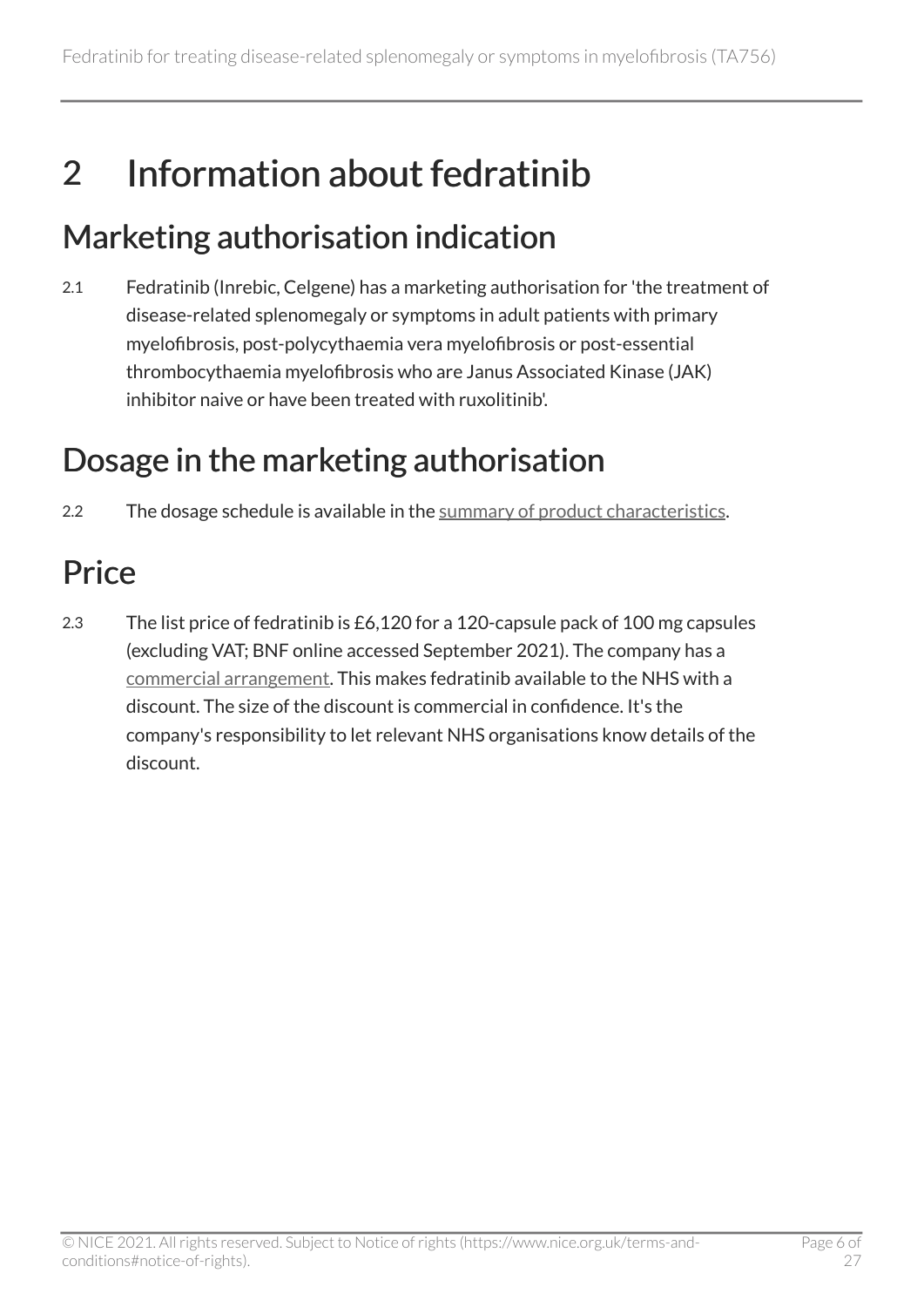## <span id="page-5-0"></span>2 Information about fedratinib

### <span id="page-5-1"></span>Marketing authorisation indication

2.1 Fedratinib (Inrebic, Celgene) has a marketing authorisation for 'the treatment of disease-related splenomegaly or symptoms in adult patients with primary myelofibrosis, post-polycythaemia vera myelofibrosis or post-essential thrombocythaemia myelofibrosis who are Janus Associated Kinase (JAK) inhibitor naive or have been treated with ruxolitinib'.

## <span id="page-5-2"></span>Dosage in the marketing authorisation

2.2 The dosage schedule is available in the [summary of product characteristics.](https://www.medicines.org.uk/emc/product/12481/smpc)

## <span id="page-5-3"></span>**Price**

2.3 The list price of fedratinib is £6,120 for a 120-capsule pack of 100 mg capsules (excluding VAT; BNF online accessed September 2021). The company has a [commercial arrangement](https://www.nice.org.uk/guidance/ta756). This makes fedratinib available to the NHS with a discount. The size of the discount is commercial in confidence. It's the company's responsibility to let relevant NHS organisations know details of the discount.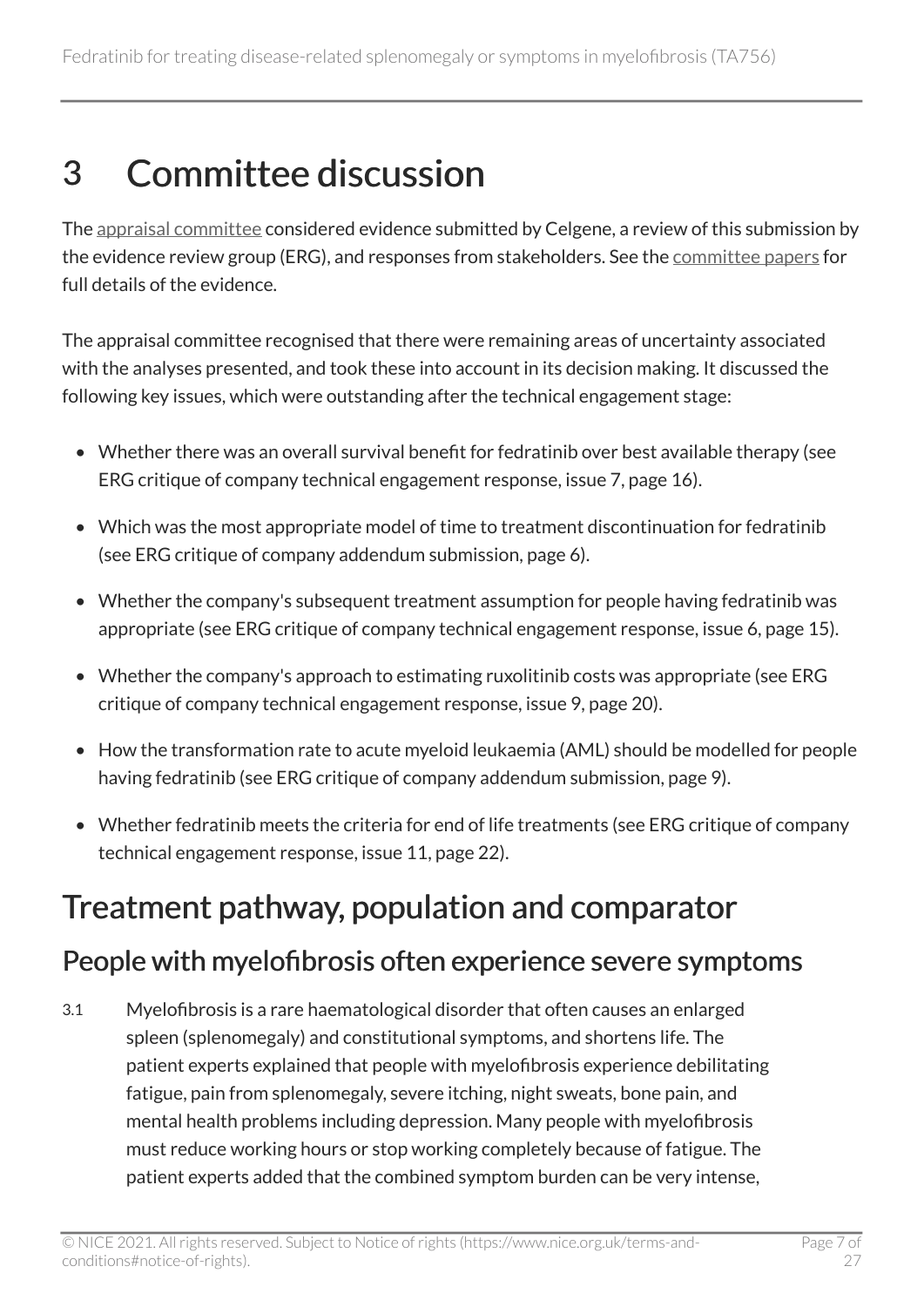## <span id="page-6-0"></span>3 Committee discussion

The [appraisal committee](#page-25-1) considered evidence submitted by Celgene, a review of this submission by the evidence review group (ERG), and responses from stakeholders. See the [committee papers](https://www.nice.org.uk/guidance/TA756/evidence) for full details of the evidence.

The appraisal committee recognised that there were remaining areas of uncertainty associated with the analyses presented, and took these into account in its decision making. It discussed the following key issues, which were outstanding after the technical engagement stage:

- Whether there was an overall survival benefit for fedratinib over best available therapy (see ERG critique of company technical engagement response, issue 7, page 16).
- Which was the most appropriate model of time to treatment discontinuation for fedratinib (see ERG critique of company addendum submission, page 6).
- Whether the company's subsequent treatment assumption for people having fedratinib was appropriate (see ERG critique of company technical engagement response, issue 6, page 15).
- Whether the company's approach to estimating ruxolitinib costs was appropriate (see ERG critique of company technical engagement response, issue 9, page 20).
- How the transformation rate to acute myeloid leukaemia (AML) should be modelled for people having fedratinib (see ERG critique of company addendum submission, page 9).
- Whether fedratinib meets the criteria for end of life treatments (see ERG critique of company technical engagement response, issue 11, page 22).

### <span id="page-6-1"></span>Treatment pathway, population and comparator

#### People with myelofibrosis often experience severe symptoms

3.1 Myelofibrosis is a rare haematological disorder that often causes an enlarged spleen (splenomegaly) and constitutional symptoms, and shortens life. The patient experts explained that people with myelofibrosis experience debilitating fatigue, pain from splenomegaly, severe itching, night sweats, bone pain, and mental health problems including depression. Many people with myelofibrosis must reduce working hours or stop working completely because of fatigue. The patient experts added that the combined symptom burden can be very intense,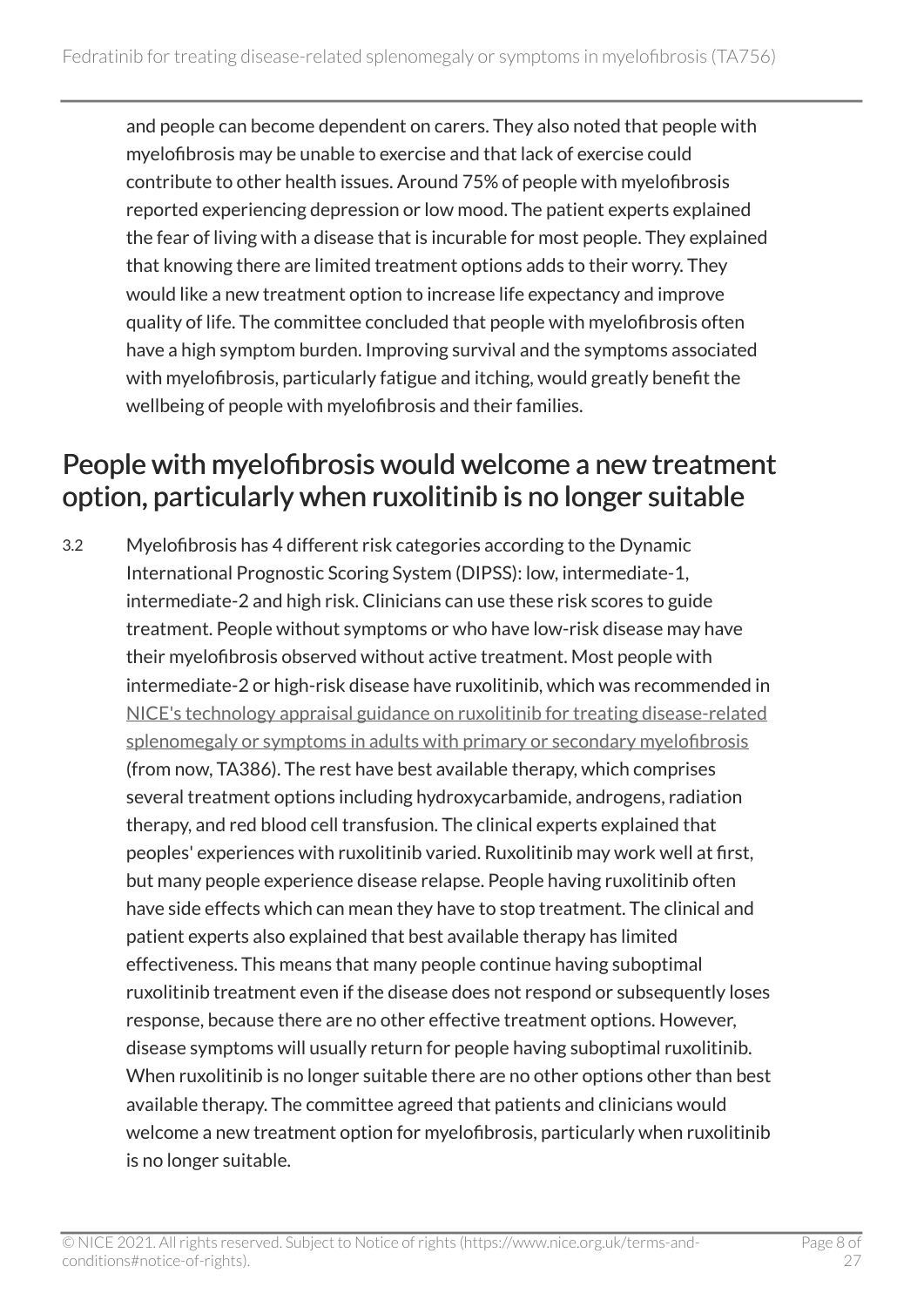and people can become dependent on carers. They also noted that people with myelofibrosis may be unable to exercise and that lack of exercise could contribute to other health issues. Around 75% of people with myelofibrosis reported experiencing depression or low mood. The patient experts explained the fear of living with a disease that is incurable for most people. They explained that knowing there are limited treatment options adds to their worry. They would like a new treatment option to increase life expectancy and improve quality of life. The committee concluded that people with myelofibrosis often have a high symptom burden. Improving survival and the symptoms associated with myelofibrosis, particularly fatigue and itching, would greatly benefit the wellbeing of people with myelofibrosis and their families.

#### <span id="page-7-0"></span>People with myelofibrosis would welcome a new treatment option, particularly when ruxolitinib is no longer suitable

3.2 Myelofibrosis has 4 different risk categories according to the Dynamic International Prognostic Scoring System (DIPSS): low, intermediate-1, intermediate-2 and high risk. Clinicians can use these risk scores to guide treatment. People without symptoms or who have low-risk disease may have their myelofibrosis observed without active treatment. Most people with intermediate-2 or high-risk disease have ruxolitinib, which was recommended in [NICE's technology appraisal guidance on ruxolitinib for treating disease-related](https://www.nice.org.uk/guidance/ta386)  [splenomegaly or symptoms in adults with primary or secondary myelofibrosis](https://www.nice.org.uk/guidance/ta386)  (from now, TA386). The rest have best available therapy, which comprises several treatment options including hydroxycarbamide, androgens, radiation therapy, and red blood cell transfusion. The clinical experts explained that peoples' experiences with ruxolitinib varied. Ruxolitinib may work well at first, but many people experience disease relapse. People having ruxolitinib often have side effects which can mean they have to stop treatment. The clinical and patient experts also explained that best available therapy has limited effectiveness. This means that many people continue having suboptimal ruxolitinib treatment even if the disease does not respond or subsequently loses response, because there are no other effective treatment options. However, disease symptoms will usually return for people having suboptimal ruxolitinib. When ruxolitinib is no longer suitable there are no other options other than best available therapy. The committee agreed that patients and clinicians would welcome a new treatment option for myelofibrosis, particularly when ruxolitinib is no longer suitable.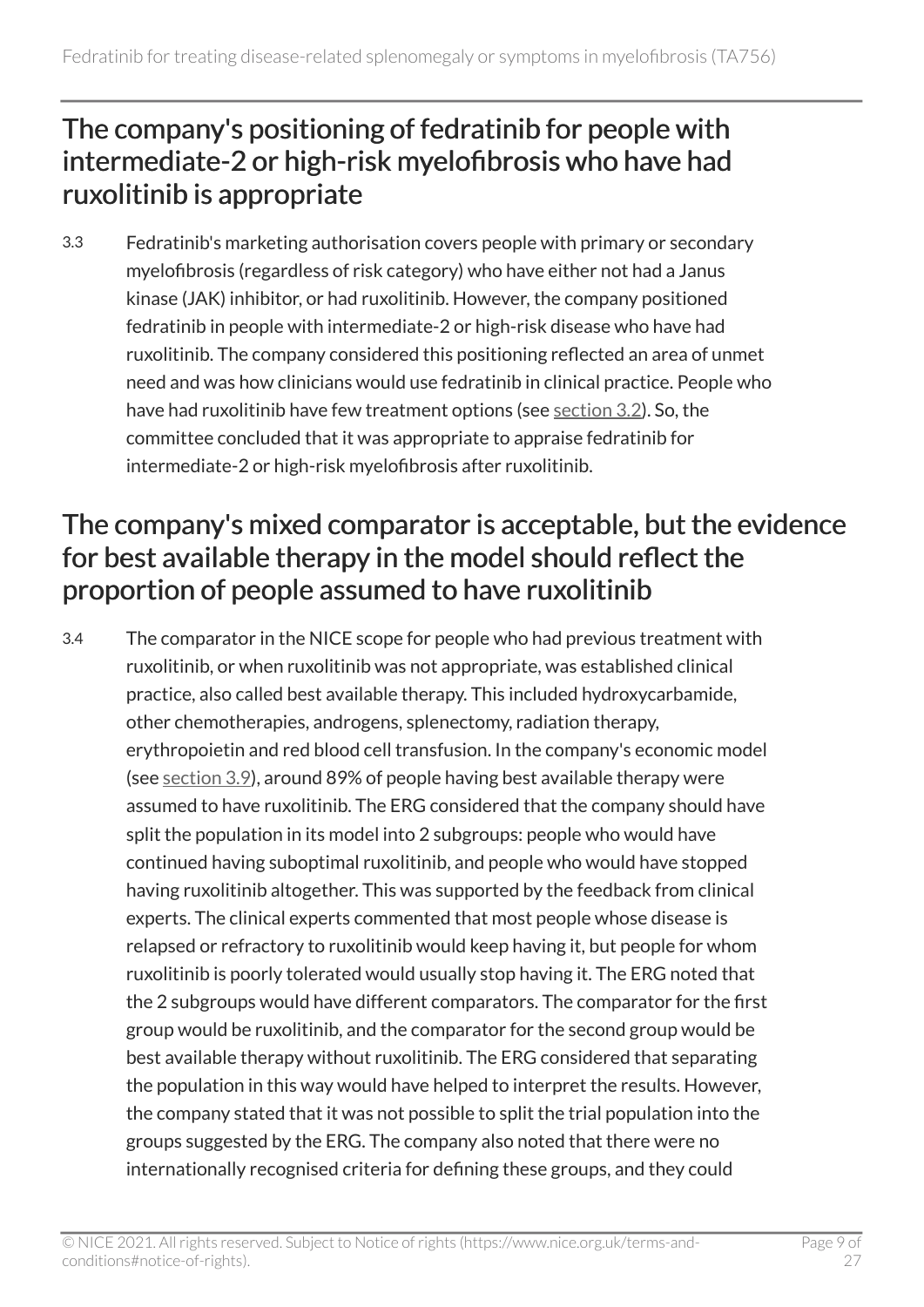#### <span id="page-8-0"></span>The company's positioning of fedratinib for people with intermediate-2 or high-risk myelofibrosis who have had ruxolitinib is appropriate

3.3 Fedratinib's marketing authorisation covers people with primary or secondary myelofibrosis (regardless of risk category) who have either not had a Janus kinase (JAK) inhibitor, or had ruxolitinib. However, the company positioned fedratinib in people with intermediate-2 or high-risk disease who have had ruxolitinib. The company considered this positioning reflected an area of unmet need and was how clinicians would use fedratinib in clinical practice. People who have had ruxolitinib have few treatment options (see [section](#page-7-0) 3.2). So, the committee concluded that it was appropriate to appraise fedratinib for intermediate-2 or high-risk myelofibrosis after ruxolitinib.

#### <span id="page-8-1"></span>The company's mixed comparator is acceptable, but the evidence for best available therapy in the model should reflect the proportion of people assumed to have ruxolitinib

3.4 The comparator in the NICE scope for people who had previous treatment with ruxolitinib, or when ruxolitinib was not appropriate, was established clinical practice, also called best available therapy. This included hydroxycarbamide, other chemotherapies, androgens, splenectomy, radiation therapy, erythropoietin and red blood cell transfusion. In the company's economic model (see [section](#page-12-1) 3.9), around 89% of people having best available therapy were assumed to have ruxolitinib. The ERG considered that the company should have split the population in its model into 2 subgroups: people who would have continued having suboptimal ruxolitinib, and people who would have stopped having ruxolitinib altogether. This was supported by the feedback from clinical experts. The clinical experts commented that most people whose disease is relapsed or refractory to ruxolitinib would keep having it, but people for whom ruxolitinib is poorly tolerated would usually stop having it. The ERG noted that the 2 subgroups would have different comparators. The comparator for the first group would be ruxolitinib, and the comparator for the second group would be best available therapy without ruxolitinib. The ERG considered that separating the population in this way would have helped to interpret the results. However, the company stated that it was not possible to split the trial population into the groups suggested by the ERG. The company also noted that there were no internationally recognised criteria for defining these groups, and they could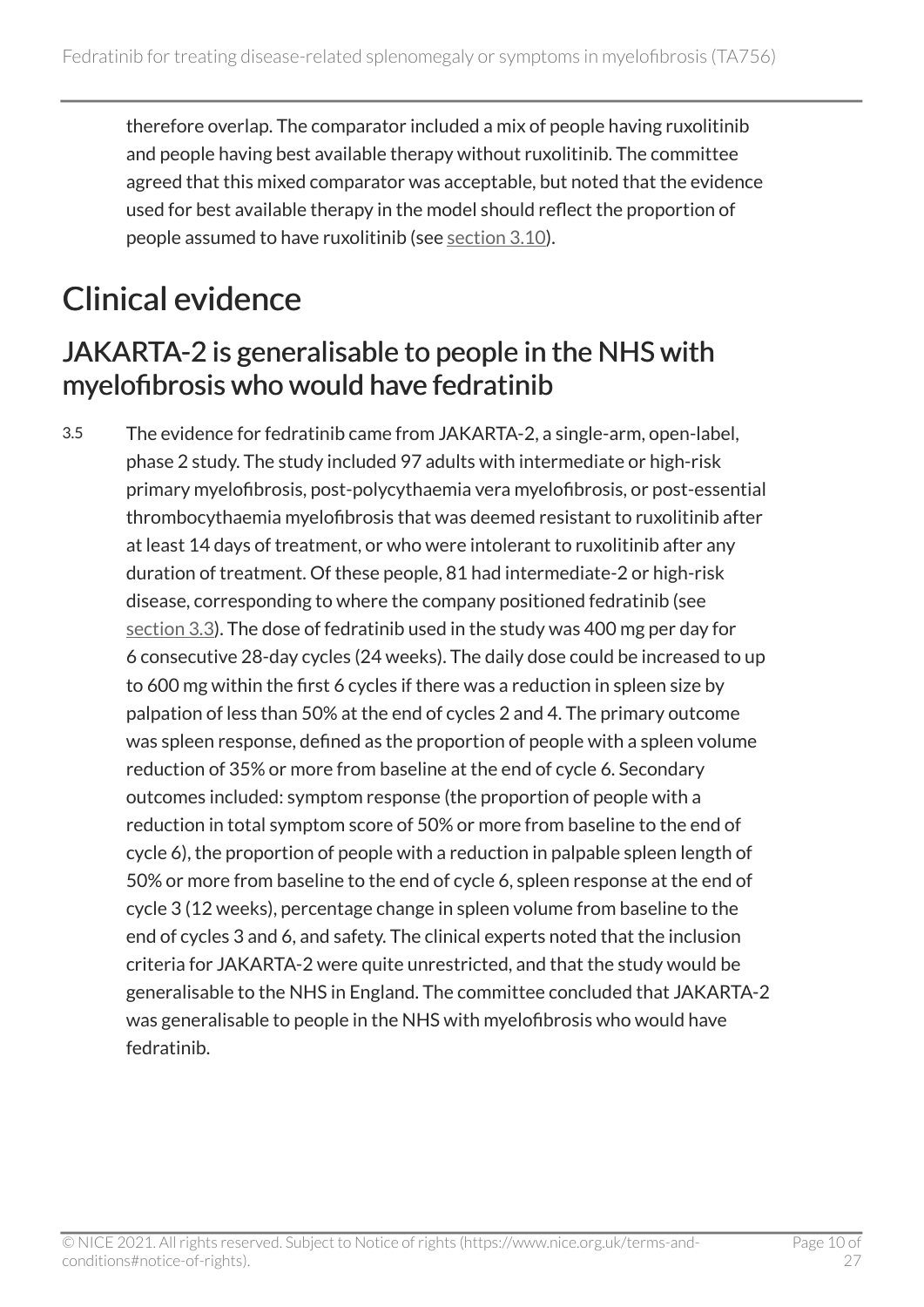therefore overlap. The comparator included a mix of people having ruxolitinib and people having best available therapy without ruxolitinib. The committee agreed that this mixed comparator was acceptable, but noted that the evidence used for best available therapy in the model should reflect the proportion of people assumed to have ruxolitinib (see [section](#page-13-0) 3.10).

## <span id="page-9-0"></span>Clinical evidence

#### <span id="page-9-1"></span>JAKARTA-2 is generalisable to people in the NHS with myelofibrosis who would have fedratinib

3.5 The evidence for fedratinib came from JAKARTA-2, a single-arm, open-label, phase 2 study. The study included 97 adults with intermediate or high-risk primary myelofibrosis, post-polycythaemia vera myelofibrosis, or post-essential thrombocythaemia myelofibrosis that was deemed resistant to ruxolitinib after at least 14 days of treatment, or who were intolerant to ruxolitinib after any duration of treatment. Of these people, 81 had intermediate-2 or high-risk disease, corresponding to where the company positioned fedratinib (see [section](#page-8-0) 3.3). The dose of fedratinib used in the study was 400 mg per day for 6 consecutive 28-day cycles (24 weeks). The daily dose could be increased to up to 600 mg within the first 6 cycles if there was a reduction in spleen size by palpation of less than 50% at the end of cycles 2 and 4. The primary outcome was spleen response, defined as the proportion of people with a spleen volume reduction of 35% or more from baseline at the end of cycle 6. Secondary outcomes included: symptom response (the proportion of people with a reduction in total symptom score of 50% or more from baseline to the end of cycle 6), the proportion of people with a reduction in palpable spleen length of 50% or more from baseline to the end of cycle 6, spleen response at the end of cycle 3 (12 weeks), percentage change in spleen volume from baseline to the end of cycles 3 and 6, and safety. The clinical experts noted that the inclusion criteria for JAKARTA-2 were quite unrestricted, and that the study would be generalisable to the NHS in England. The committee concluded that JAKARTA-2 was generalisable to people in the NHS with myelofibrosis who would have fedratinib.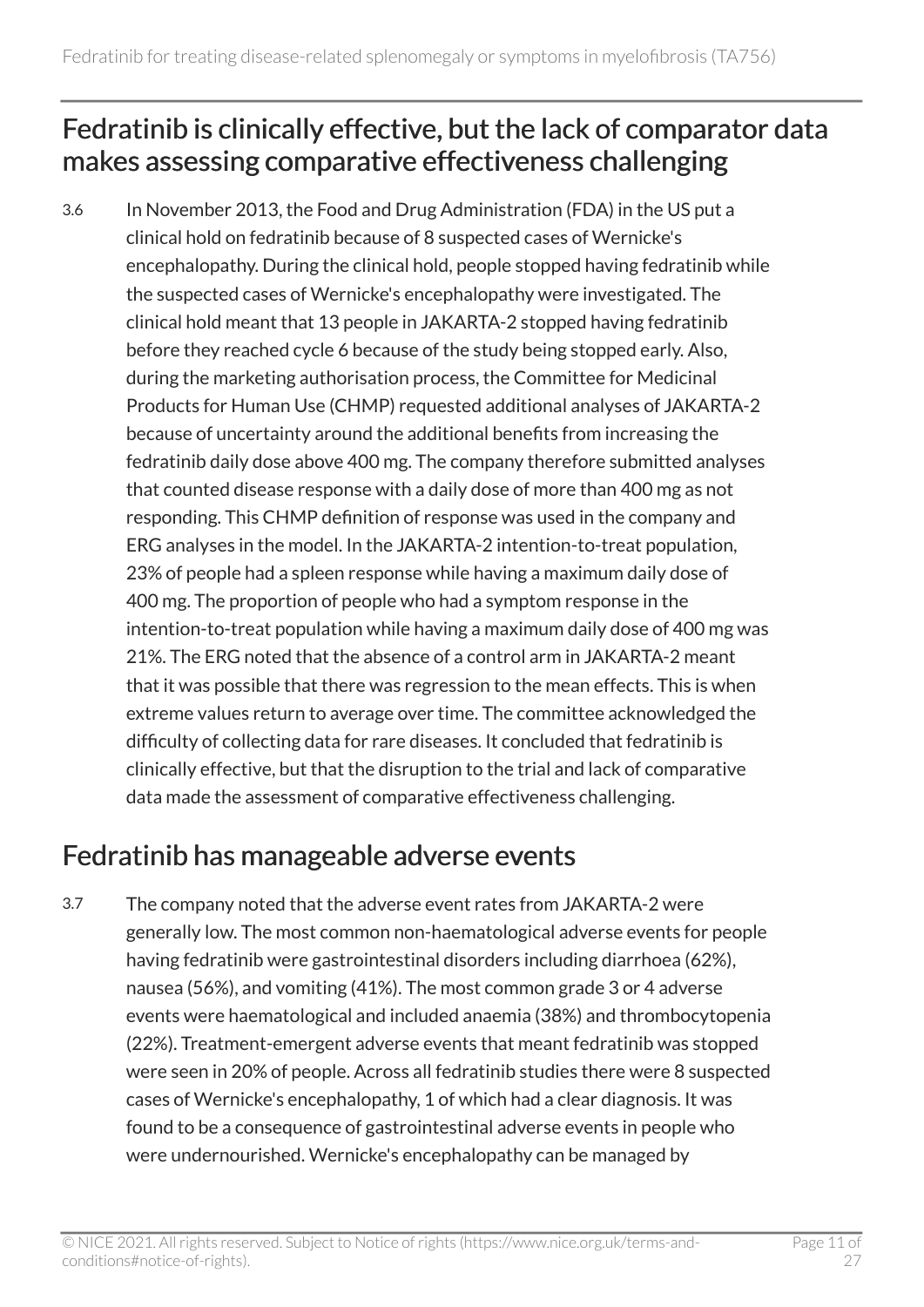#### <span id="page-10-0"></span>Fedratinib is clinically effective, but the lack of comparator data makes assessing comparative effectiveness challenging

3.6 In November 2013, the Food and Drug Administration (FDA) in the US put a clinical hold on fedratinib because of 8 suspected cases of Wernicke's encephalopathy. During the clinical hold, people stopped having fedratinib while the suspected cases of Wernicke's encephalopathy were investigated. The clinical hold meant that 13 people in JAKARTA-2 stopped having fedratinib before they reached cycle 6 because of the study being stopped early. Also, during the marketing authorisation process, the Committee for Medicinal Products for Human Use (CHMP) requested additional analyses of JAKARTA-2 because of uncertainty around the additional benefits from increasing the fedratinib daily dose above 400 mg. The company therefore submitted analyses that counted disease response with a daily dose of more than 400 mg as not responding. This CHMP definition of response was used in the company and ERG analyses in the model. In the JAKARTA-2 intention-to-treat population, 23% of people had a spleen response while having a maximum daily dose of 400 mg. The proportion of people who had a symptom response in the intention-to-treat population while having a maximum daily dose of 400 mg was 21%. The ERG noted that the absence of a control arm in JAKARTA-2 meant that it was possible that there was regression to the mean effects. This is when extreme values return to average over time. The committee acknowledged the difficulty of collecting data for rare diseases. It concluded that fedratinib is clinically effective, but that the disruption to the trial and lack of comparative data made the assessment of comparative effectiveness challenging.

#### Fedratinib has manageable adverse events

3.7 The company noted that the adverse event rates from JAKARTA-2 were generally low. The most common non-haematological adverse events for people having fedratinib were gastrointestinal disorders including diarrhoea (62%), nausea (56%), and vomiting (41%). The most common grade 3 or 4 adverse events were haematological and included anaemia (38%) and thrombocytopenia (22%). Treatment-emergent adverse events that meant fedratinib was stopped were seen in 20% of people. Across all fedratinib studies there were 8 suspected cases of Wernicke's encephalopathy, 1 of which had a clear diagnosis. It was found to be a consequence of gastrointestinal adverse events in people who were undernourished. Wernicke's encephalopathy can be managed by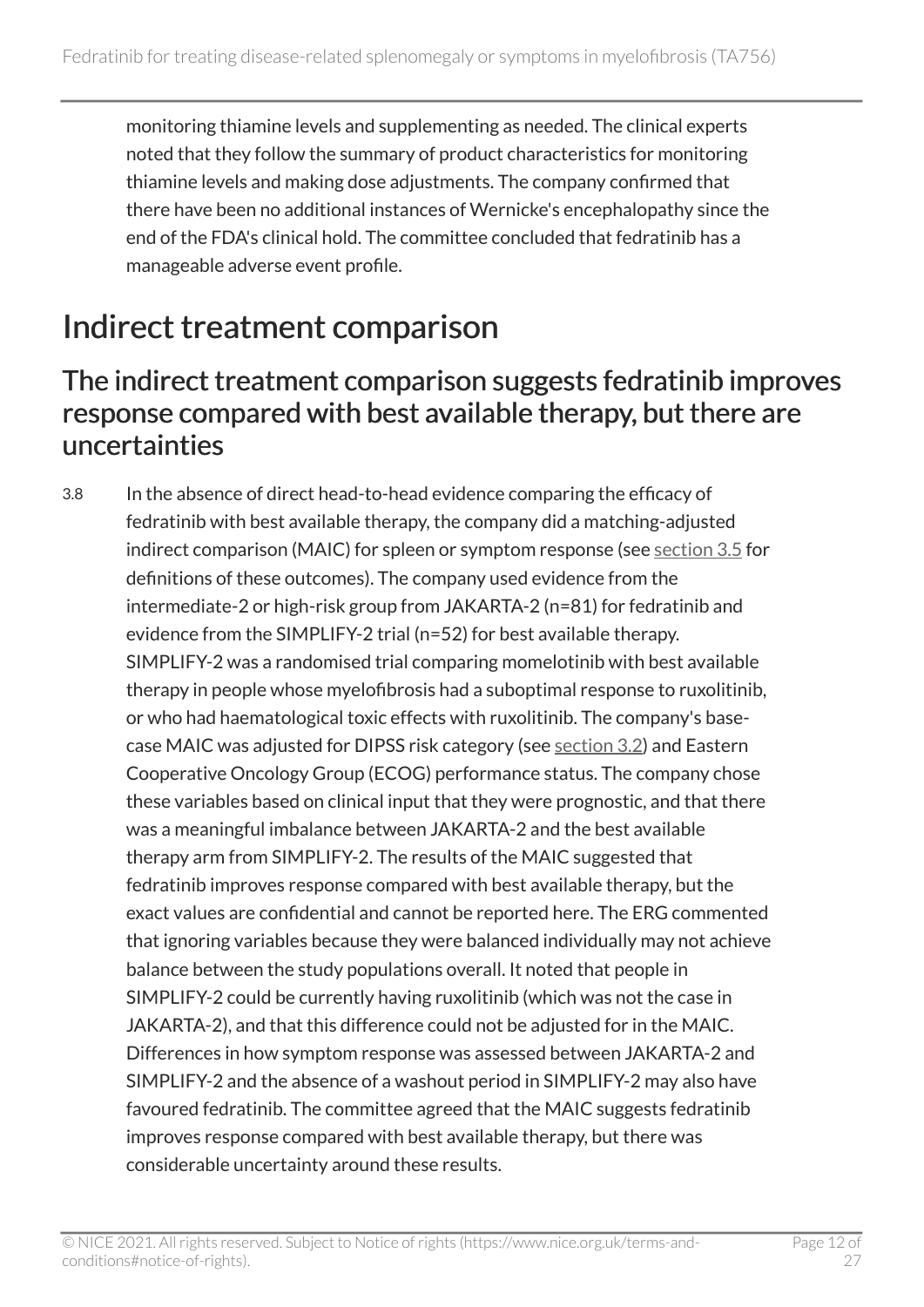monitoring thiamine levels and supplementing as needed. The clinical experts noted that they follow the summary of product characteristics for monitoring thiamine levels and making dose adjustments. The company confirmed that there have been no additional instances of Wernicke's encephalopathy since the end of the FDA's clinical hold. The committee concluded that fedratinib has a manageable adverse event profile.

## <span id="page-11-0"></span>Indirect treatment comparison

#### <span id="page-11-1"></span>The indirect treatment comparison suggests fedratinib improves response compared with best available therapy, but there are uncertainties

3.8 In the absence of direct head-to-head evidence comparing the efficacy of fedratinib with best available therapy, the company did a matching-adjusted indirect comparison (MAIC) for spleen or symptom response (see [section](#page-9-1) 3.5 for definitions of these outcomes). The company used evidence from the intermediate-2 or high-risk group from JAKARTA-2 (n=81) for fedratinib and evidence from the SIMPLIFY-2 trial (n=52) for best available therapy. SIMPLIFY-2 was a randomised trial comparing momelotinib with best available therapy in people whose myelofibrosis had a suboptimal response to ruxolitinib, or who had haematological toxic effects with ruxolitinib. The company's basecase MAIC was adjusted for DIPSS risk category (see [section](#page-7-0) 3.2) and Eastern Cooperative Oncology Group (ECOG) performance status. The company chose these variables based on clinical input that they were prognostic, and that there was a meaningful imbalance between JAKARTA-2 and the best available therapy arm from SIMPLIFY-2. The results of the MAIC suggested that fedratinib improves response compared with best available therapy, but the exact values are confidential and cannot be reported here. The ERG commented that ignoring variables because they were balanced individually may not achieve balance between the study populations overall. It noted that people in SIMPLIFY-2 could be currently having ruxolitinib (which was not the case in JAKARTA-2), and that this difference could not be adjusted for in the MAIC. Differences in how symptom response was assessed between JAKARTA-2 and SIMPLIFY-2 and the absence of a washout period in SIMPLIFY-2 may also have favoured fedratinib. The committee agreed that the MAIC suggests fedratinib improves response compared with best available therapy, but there was considerable uncertainty around these results.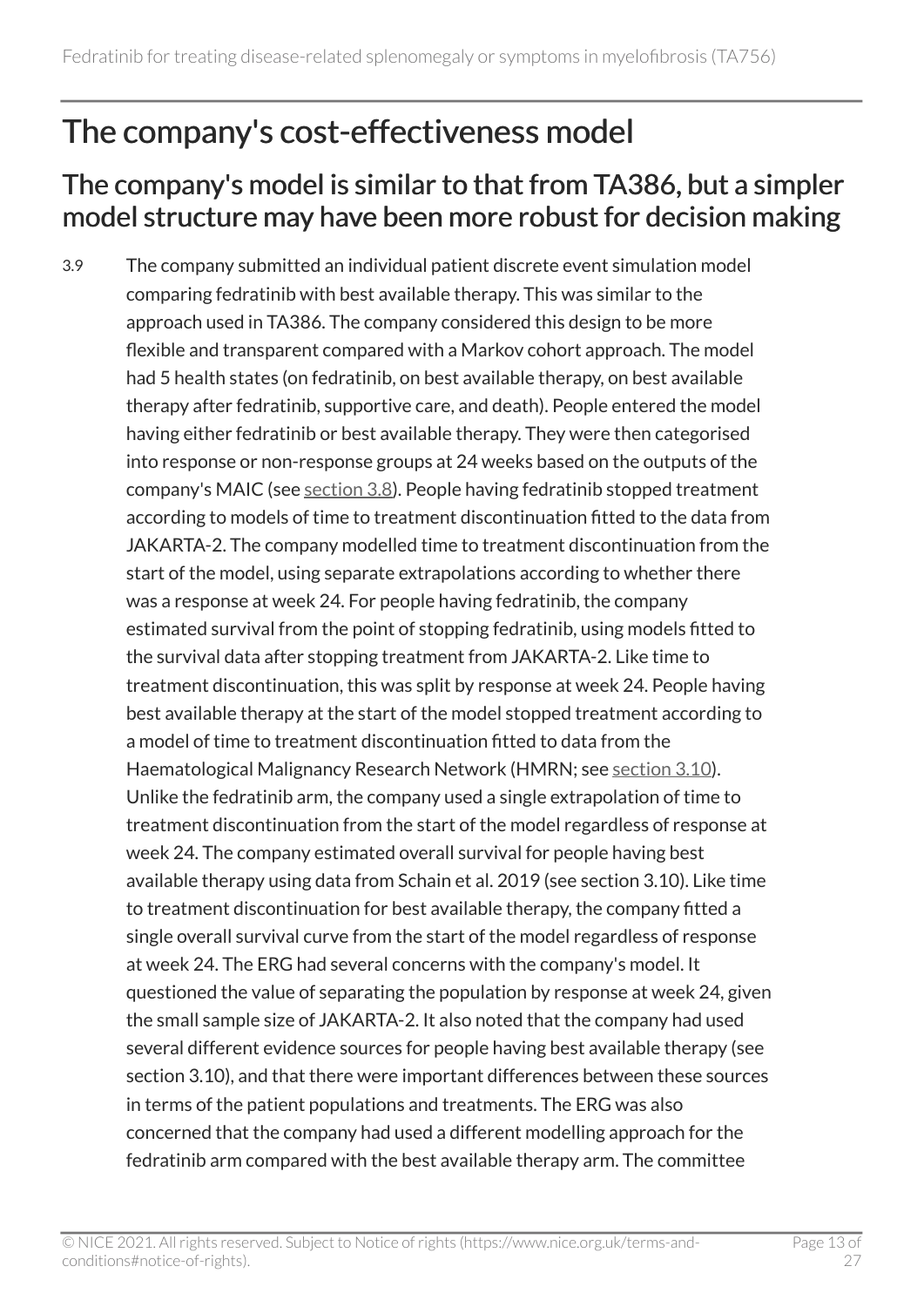### <span id="page-12-0"></span>The company's cost-effectiveness model

#### <span id="page-12-1"></span>The company's model is similar to that from TA386, but a simpler model structure may have been more robust for decision making

3.9 The company submitted an individual patient discrete event simulation model comparing fedratinib with best available therapy. This was similar to the approach used in TA386. The company considered this design to be more flexible and transparent compared with a Markov cohort approach. The model had 5 health states (on fedratinib, on best available therapy, on best available therapy after fedratinib, supportive care, and death). People entered the model having either fedratinib or best available therapy. They were then categorised into response or non-response groups at 24 weeks based on the outputs of the company's MAIC (see [section](#page-11-1) 3.8). People having fedratinib stopped treatment according to models of time to treatment discontinuation fitted to the data from JAKARTA-2. The company modelled time to treatment discontinuation from the start of the model, using separate extrapolations according to whether there was a response at week 24. For people having fedratinib, the company estimated survival from the point of stopping fedratinib, using models fitted to the survival data after stopping treatment from JAKARTA-2. Like time to treatment discontinuation, this was split by response at week 24. People having best available therapy at the start of the model stopped treatment according to a model of time to treatment discontinuation fitted to data from the Haematological Malignancy Research Network (HMRN; see [section](#page-13-0) 3.10). Unlike the fedratinib arm, the company used a single extrapolation of time to treatment discontinuation from the start of the model regardless of response at week 24. The company estimated overall survival for people having best available therapy using data from Schain et al. 2019 (see section 3.10). Like time to treatment discontinuation for best available therapy, the company fitted a single overall survival curve from the start of the model regardless of response at week 24. The ERG had several concerns with the company's model. It questioned the value of separating the population by response at week 24, given the small sample size of JAKARTA-2. It also noted that the company had used several different evidence sources for people having best available therapy (see section 3.10), and that there were important differences between these sources in terms of the patient populations and treatments. The ERG was also concerned that the company had used a different modelling approach for the fedratinib arm compared with the best available therapy arm. The committee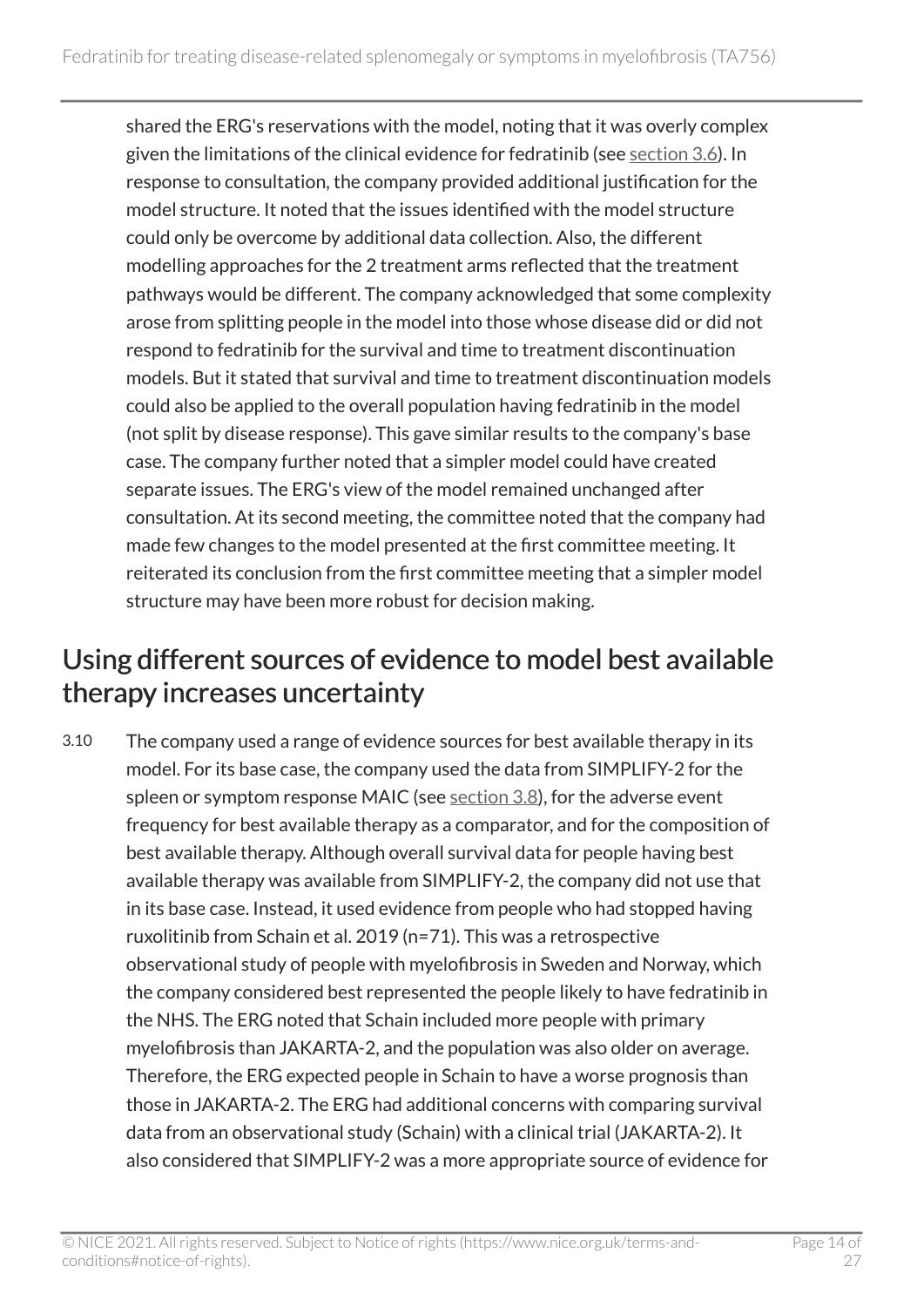shared the ERG's reservations with the model, noting that it was overly complex given the limitations of the clinical evidence for fedratinib (see [section 3.6](#page-10-0)). In response to consultation, the company provided additional justification for the model structure. It noted that the issues identified with the model structure could only be overcome by additional data collection. Also, the different modelling approaches for the 2 treatment arms reflected that the treatment pathways would be different. The company acknowledged that some complexity arose from splitting people in the model into those whose disease did or did not respond to fedratinib for the survival and time to treatment discontinuation models. But it stated that survival and time to treatment discontinuation models could also be applied to the overall population having fedratinib in the model (not split by disease response). This gave similar results to the company's base case. The company further noted that a simpler model could have created separate issues. The ERG's view of the model remained unchanged after consultation. At its second meeting, the committee noted that the company had made few changes to the model presented at the first committee meeting. It reiterated its conclusion from the first committee meeting that a simpler model structure may have been more robust for decision making.

#### <span id="page-13-0"></span>Using different sources of evidence to model best available therapy increases uncertainty

3.10 The company used a range of evidence sources for best available therapy in its model. For its base case, the company used the data from SIMPLIFY-2 for the spleen or symptom response MAIC (see [section](#page-11-1) 3.8), for the adverse event frequency for best available therapy as a comparator, and for the composition of best available therapy. Although overall survival data for people having best available therapy was available from SIMPLIFY-2, the company did not use that in its base case. Instead, it used evidence from people who had stopped having ruxolitinib from Schain et al. 2019 (n=71). This was a retrospective observational study of people with myelofibrosis in Sweden and Norway, which the company considered best represented the people likely to have fedratinib in the NHS. The ERG noted that Schain included more people with primary myelofibrosis than JAKARTA-2, and the population was also older on average. Therefore, the ERG expected people in Schain to have a worse prognosis than those in JAKARTA-2. The ERG had additional concerns with comparing survival data from an observational study (Schain) with a clinical trial (JAKARTA-2). It also considered that SIMPLIFY-2 was a more appropriate source of evidence for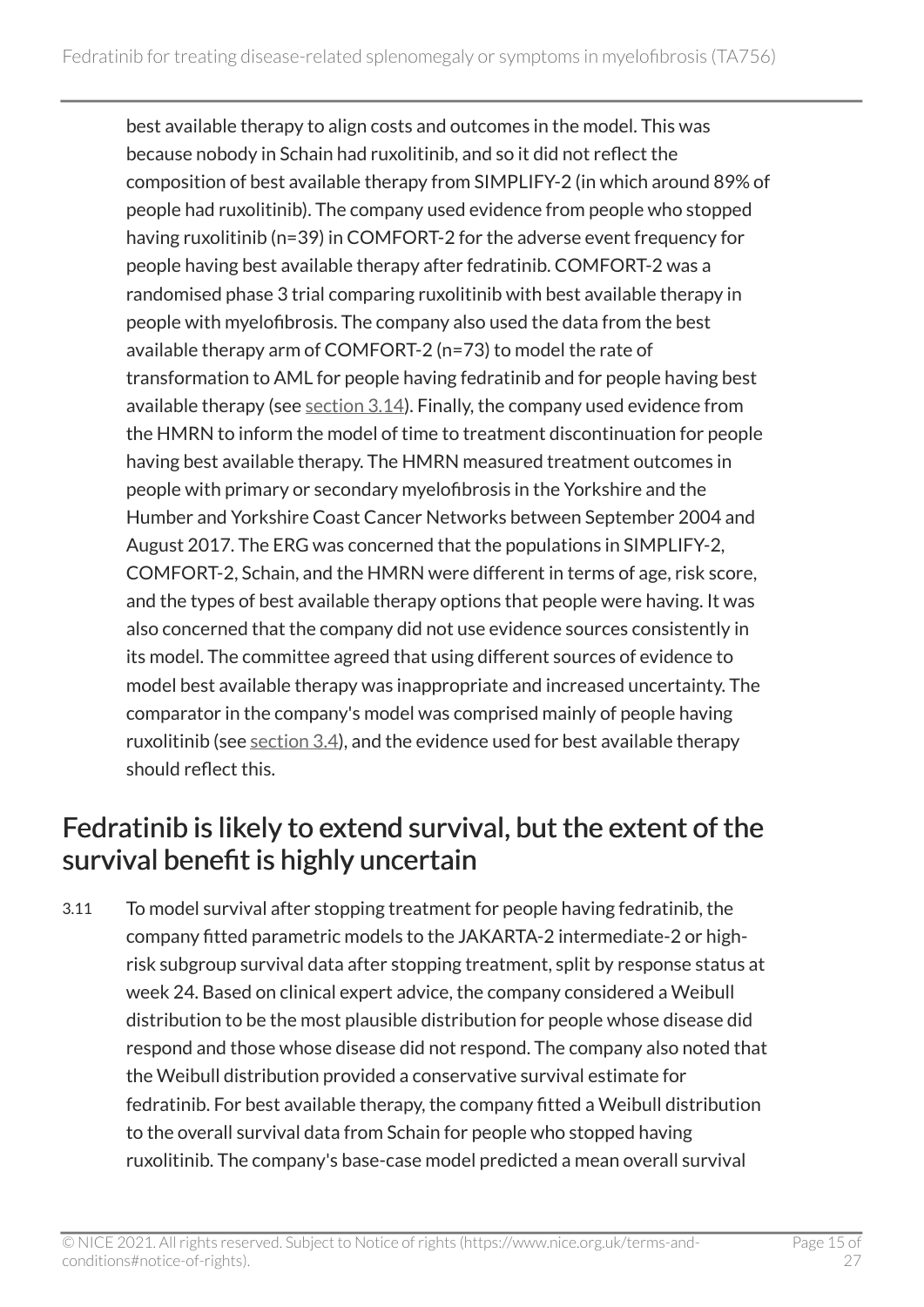best available therapy to align costs and outcomes in the model. This was because nobody in Schain had ruxolitinib, and so it did not reflect the composition of best available therapy from SIMPLIFY-2 (in which around 89% of people had ruxolitinib). The company used evidence from people who stopped having ruxolitinib (n=39) in COMFORT-2 for the adverse event frequency for people having best available therapy after fedratinib. COMFORT-2 was a randomised phase 3 trial comparing ruxolitinib with best available therapy in people with myelofibrosis. The company also used the data from the best available therapy arm of COMFORT-2 (n=73) to model the rate of transformation to AML for people having fedratinib and for people having best available therapy (see [section 3.14](#page-17-0)). Finally, the company used evidence from the HMRN to inform the model of time to treatment discontinuation for people having best available therapy. The HMRN measured treatment outcomes in people with primary or secondary myelofibrosis in the Yorkshire and the Humber and Yorkshire Coast Cancer Networks between September 2004 and August 2017. The ERG was concerned that the populations in SIMPLIFY-2, COMFORT-2, Schain, and the HMRN were different in terms of age, risk score, and the types of best available therapy options that people were having. It was also concerned that the company did not use evidence sources consistently in its model. The committee agreed that using different sources of evidence to model best available therapy was inappropriate and increased uncertainty. The comparator in the company's model was comprised mainly of people having ruxolitinib (see [section](#page-8-1) 3.4), and the evidence used for best available therapy should reflect this.

#### <span id="page-14-0"></span>Fedratinib is likely to extend survival, but the extent of the survival benefit is highly uncertain

3.11 To model survival after stopping treatment for people having fedratinib, the company fitted parametric models to the JAKARTA-2 intermediate-2 or highrisk subgroup survival data after stopping treatment, split by response status at week 24. Based on clinical expert advice, the company considered a Weibull distribution to be the most plausible distribution for people whose disease did respond and those whose disease did not respond. The company also noted that the Weibull distribution provided a conservative survival estimate for fedratinib. For best available therapy, the company fitted a Weibull distribution to the overall survival data from Schain for people who stopped having ruxolitinib. The company's base-case model predicted a mean overall survival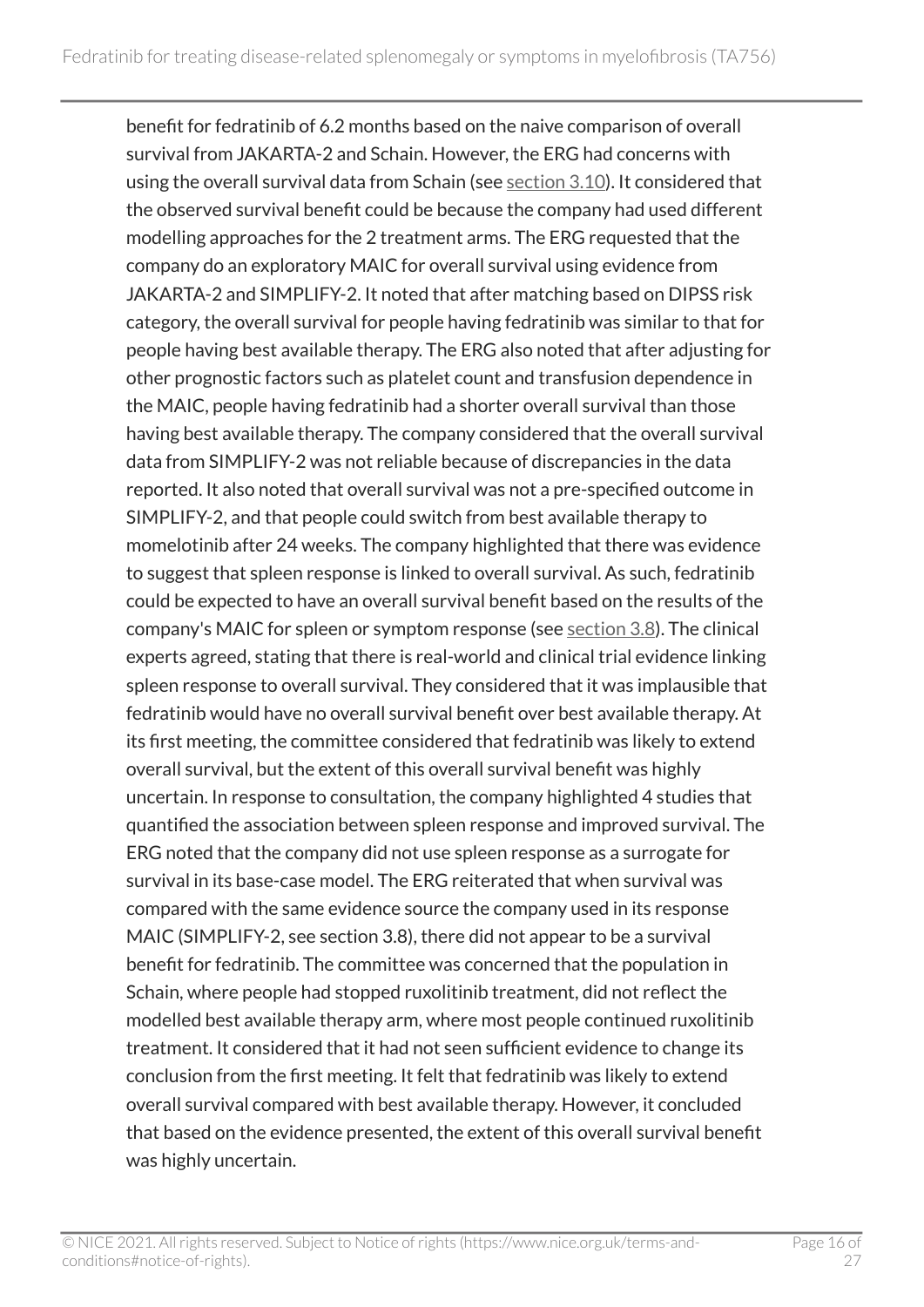benefit for fedratinib of 6.2 months based on the naive comparison of overall survival from JAKARTA-2 and Schain. However, the ERG had concerns with using the overall survival data from Schain (see [section](#page-13-0) 3.10). It considered that the observed survival benefit could be because the company had used different modelling approaches for the 2 treatment arms. The ERG requested that the company do an exploratory MAIC for overall survival using evidence from JAKARTA-2 and SIMPLIFY-2. It noted that after matching based on DIPSS risk category, the overall survival for people having fedratinib was similar to that for people having best available therapy. The ERG also noted that after adjusting for other prognostic factors such as platelet count and transfusion dependence in the MAIC, people having fedratinib had a shorter overall survival than those having best available therapy. The company considered that the overall survival data from SIMPLIFY-2 was not reliable because of discrepancies in the data reported. It also noted that overall survival was not a pre-specified outcome in SIMPLIFY-2, and that people could switch from best available therapy to momelotinib after 24 weeks. The company highlighted that there was evidence to suggest that spleen response is linked to overall survival. As such, fedratinib could be expected to have an overall survival benefit based on the results of the company's MAIC for spleen or symptom response (see [section](#page-11-1) 3.8). The clinical experts agreed, stating that there is real-world and clinical trial evidence linking spleen response to overall survival. They considered that it was implausible that fedratinib would have no overall survival benefit over best available therapy. At its first meeting, the committee considered that fedratinib was likely to extend overall survival, but the extent of this overall survival benefit was highly uncertain. In response to consultation, the company highlighted 4 studies that quantified the association between spleen response and improved survival. The ERG noted that the company did not use spleen response as a surrogate for survival in its base-case model. The ERG reiterated that when survival was compared with the same evidence source the company used in its response MAIC (SIMPLIFY-2, see section 3.8), there did not appear to be a survival benefit for fedratinib. The committee was concerned that the population in Schain, where people had stopped ruxolitinib treatment, did not reflect the modelled best available therapy arm, where most people continued ruxolitinib treatment. It considered that it had not seen sufficient evidence to change its conclusion from the first meeting. It felt that fedratinib was likely to extend overall survival compared with best available therapy. However, it concluded that based on the evidence presented, the extent of this overall survival benefit was highly uncertain.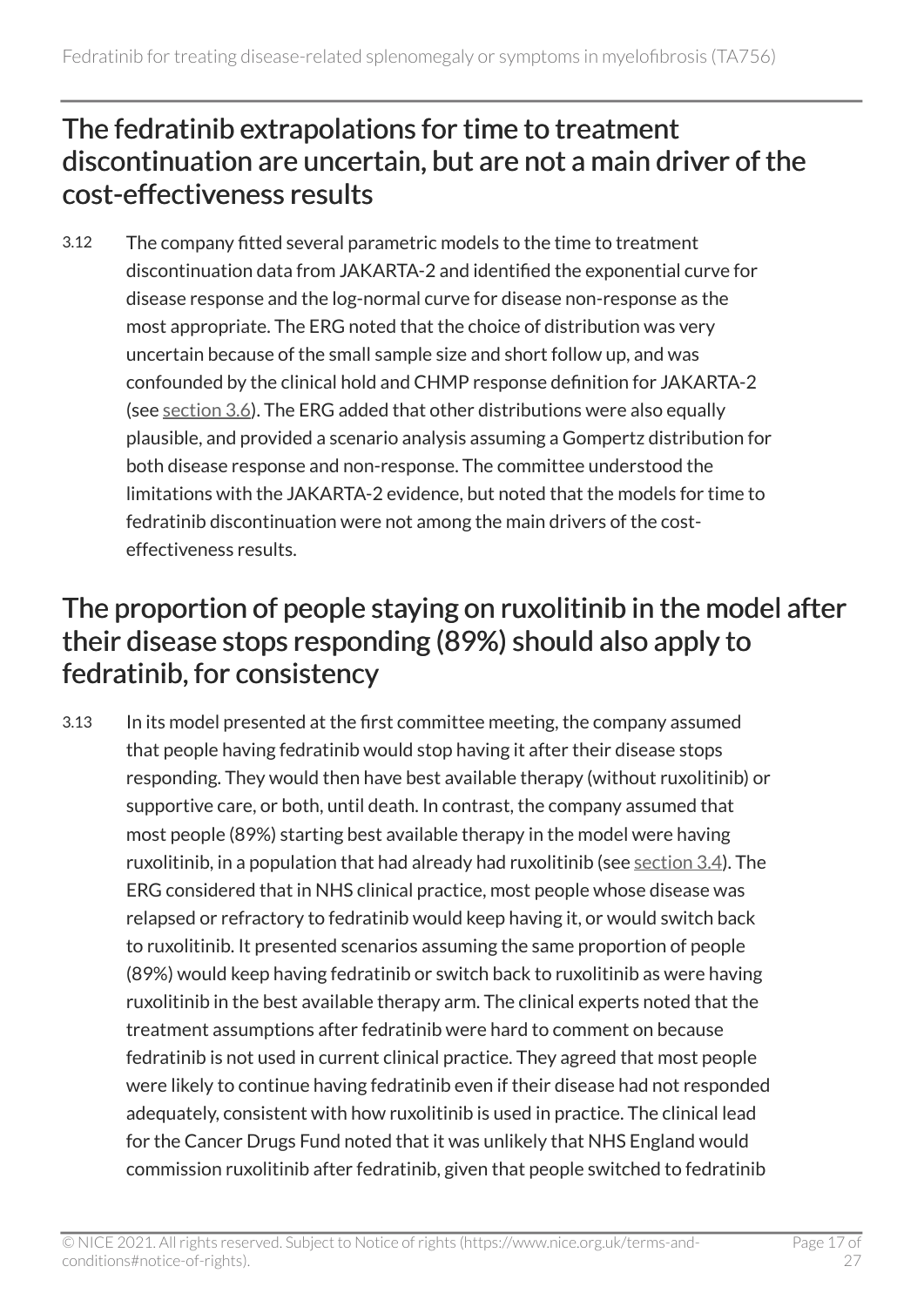#### The fedratinib extrapolations for time to treatment discontinuation are uncertain, but are not a main driver of the cost-effectiveness results

3.12 The company fitted several parametric models to the time to treatment discontinuation data from JAKARTA-2 and identified the exponential curve for disease response and the log-normal curve for disease non-response as the most appropriate. The ERG noted that the choice of distribution was very uncertain because of the small sample size and short follow up, and was confounded by the clinical hold and CHMP response definition for JAKARTA-2 (see [section](#page-10-0) 3.6). The ERG added that other distributions were also equally plausible, and provided a scenario analysis assuming a Gompertz distribution for both disease response and non-response. The committee understood the limitations with the JAKARTA-2 evidence, but noted that the models for time to fedratinib discontinuation were not among the main drivers of the costeffectiveness results.

#### <span id="page-16-0"></span>The proportion of people staying on ruxolitinib in the model after their disease stops responding (89%) should also apply to fedratinib, for consistency

3.13 In its model presented at the first committee meeting, the company assumed that people having fedratinib would stop having it after their disease stops responding. They would then have best available therapy (without ruxolitinib) or supportive care, or both, until death. In contrast, the company assumed that most people (89%) starting best available therapy in the model were having ruxolitinib, in a population that had already had ruxolitinib (see [section](#page-8-1) 3.4). The ERG considered that in NHS clinical practice, most people whose disease was relapsed or refractory to fedratinib would keep having it, or would switch back to ruxolitinib. It presented scenarios assuming the same proportion of people (89%) would keep having fedratinib or switch back to ruxolitinib as were having ruxolitinib in the best available therapy arm. The clinical experts noted that the treatment assumptions after fedratinib were hard to comment on because fedratinib is not used in current clinical practice. They agreed that most people were likely to continue having fedratinib even if their disease had not responded adequately, consistent with how ruxolitinib is used in practice. The clinical lead for the Cancer Drugs Fund noted that it was unlikely that NHS England would commission ruxolitinib after fedratinib, given that people switched to fedratinib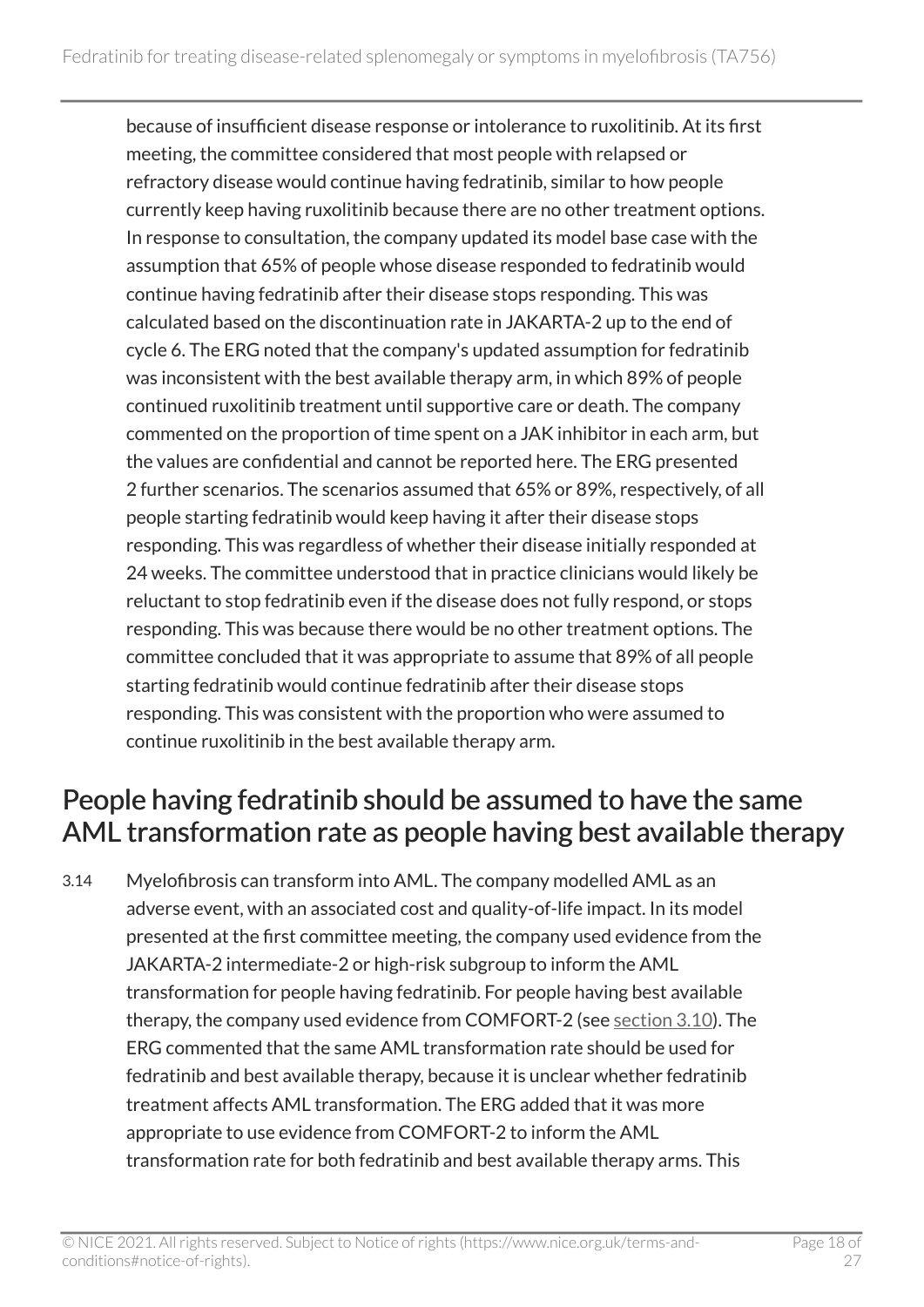because of insufficient disease response or intolerance to ruxolitinib. At its first meeting, the committee considered that most people with relapsed or refractory disease would continue having fedratinib, similar to how people currently keep having ruxolitinib because there are no other treatment options. In response to consultation, the company updated its model base case with the assumption that 65% of people whose disease responded to fedratinib would continue having fedratinib after their disease stops responding. This was calculated based on the discontinuation rate in JAKARTA-2 up to the end of cycle 6. The ERG noted that the company's updated assumption for fedratinib was inconsistent with the best available therapy arm, in which 89% of people continued ruxolitinib treatment until supportive care or death. The company commented on the proportion of time spent on a JAK inhibitor in each arm, but the values are confidential and cannot be reported here. The ERG presented 2 further scenarios. The scenarios assumed that 65% or 89%, respectively, of all people starting fedratinib would keep having it after their disease stops responding. This was regardless of whether their disease initially responded at 24 weeks. The committee understood that in practice clinicians would likely be reluctant to stop fedratinib even if the disease does not fully respond, or stops responding. This was because there would be no other treatment options. The committee concluded that it was appropriate to assume that 89% of all people starting fedratinib would continue fedratinib after their disease stops responding. This was consistent with the proportion who were assumed to continue ruxolitinib in the best available therapy arm.

#### <span id="page-17-0"></span>People having fedratinib should be assumed to have the same AML transformation rate as people having best available therapy

3.14 Myelofibrosis can transform into AML. The company modelled AML as an adverse event, with an associated cost and quality-of-life impact. In its model presented at the first committee meeting, the company used evidence from the JAKARTA-2 intermediate-2 or high-risk subgroup to inform the AML transformation for people having fedratinib. For people having best available therapy, the company used evidence from COMFORT-2 (see [section](#page-13-0) 3.10). The ERG commented that the same AML transformation rate should be used for fedratinib and best available therapy, because it is unclear whether fedratinib treatment affects AML transformation. The ERG added that it was more appropriate to use evidence from COMFORT-2 to inform the AML transformation rate for both fedratinib and best available therapy arms. This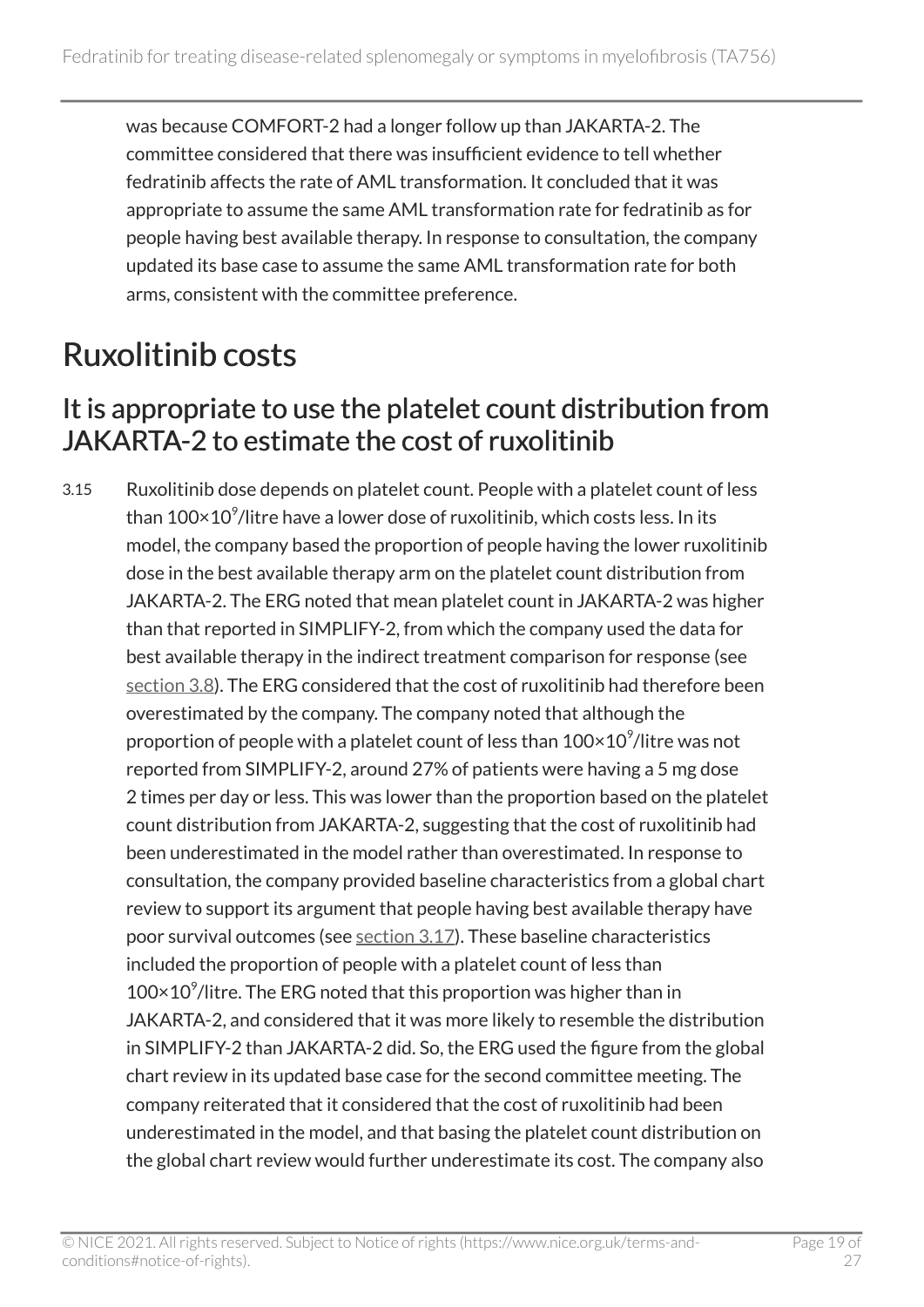was because COMFORT-2 had a longer follow up than JAKARTA-2. The committee considered that there was insufficient evidence to tell whether fedratinib affects the rate of AML transformation. It concluded that it was appropriate to assume the same AML transformation rate for fedratinib as for people having best available therapy. In response to consultation, the company updated its base case to assume the same AML transformation rate for both arms, consistent with the committee preference.

## <span id="page-18-0"></span>Ruxolitinib costs

#### <span id="page-18-1"></span>It is appropriate to use the platelet count distribution from JAKARTA-2 to estimate the cost of ruxolitinib

3.15 Ruxolitinib dose depends on platelet count. People with a platelet count of less than  $100\times$   $10^{\circ}$ /litre have a lower dose of ruxolitinib, which costs less. In its model, the company based the proportion of people having the lower ruxolitinib dose in the best available therapy arm on the platelet count distribution from JAKARTA-2. The ERG noted that mean platelet count in JAKARTA-2 was higher than that reported in SIMPLIFY-2, from which the company used the data for best available therapy in the indirect treatment comparison for response (see [section 3.8](#page-11-1)). The ERG considered that the cost of ruxolitinib had therefore been overestimated by the company. The company noted that although the proportion of people with a platelet count of less than  $100\times10^9$ /litre was not reported from SIMPLIFY-2, around 27% of patients were having a 5 mg dose 2 times per day or less. This was lower than the proportion based on the platelet count distribution from JAKARTA-2, suggesting that the cost of ruxolitinib had been underestimated in the model rather than overestimated. In response to consultation, the company provided baseline characteristics from a global chart review to support its argument that people having best available therapy have poor survival outcomes (see [section 3.17](#page-19-1)). These baseline characteristics included the proportion of people with a platelet count of less than  $100\times10^9$ /litre. The ERG noted that this proportion was higher than in JAKARTA-2, and considered that it was more likely to resemble the distribution in SIMPLIFY-2 than JAKARTA-2 did. So, the ERG used the figure from the global chart review in its updated base case for the second committee meeting. The company reiterated that it considered that the cost of ruxolitinib had been underestimated in the model, and that basing the platelet count distribution on the global chart review would further underestimate its cost. The company also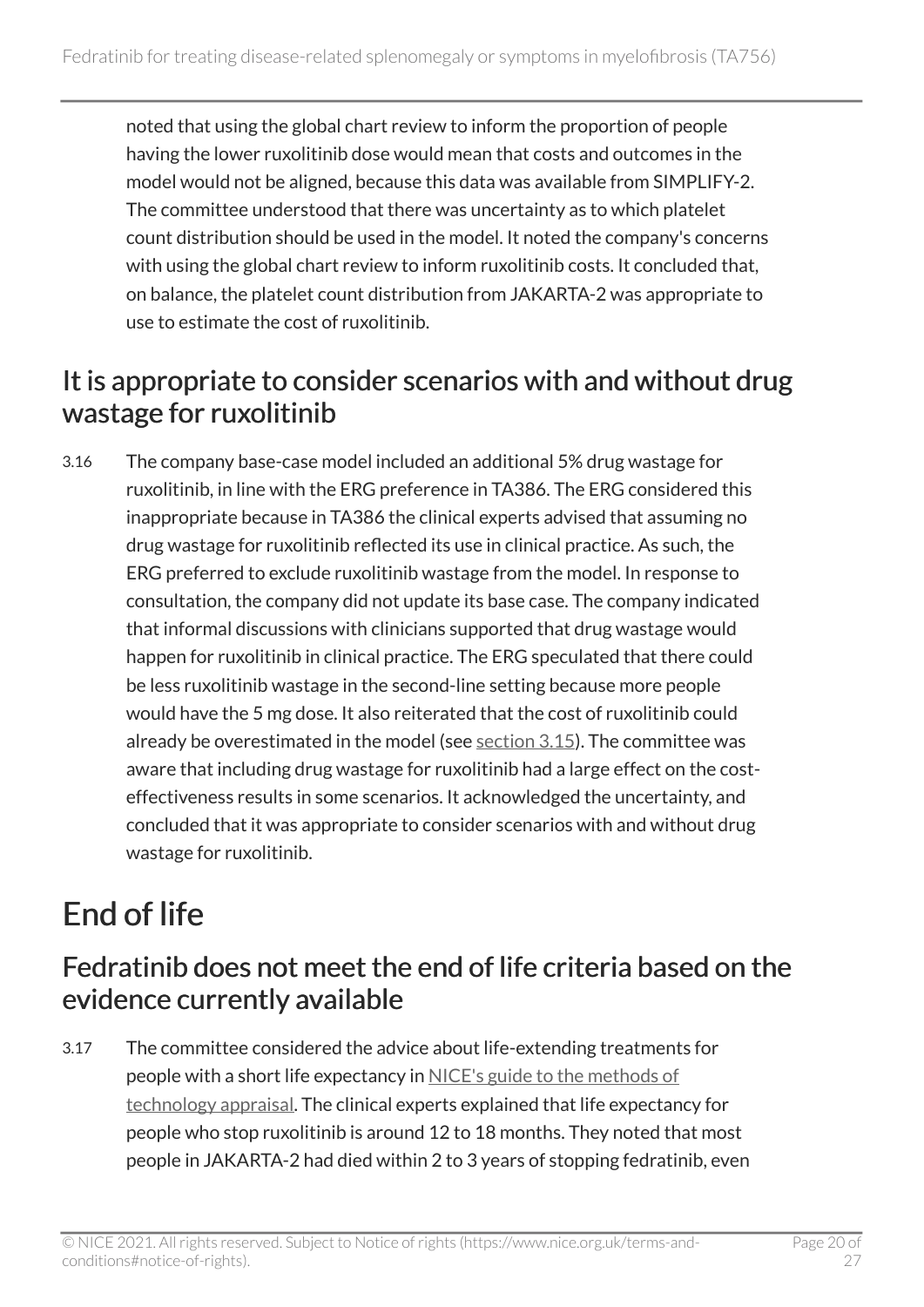noted that using the global chart review to inform the proportion of people having the lower ruxolitinib dose would mean that costs and outcomes in the model would not be aligned, because this data was available from SIMPLIFY-2. The committee understood that there was uncertainty as to which platelet count distribution should be used in the model. It noted the company's concerns with using the global chart review to inform ruxolitinib costs. It concluded that, on balance, the platelet count distribution from JAKARTA-2 was appropriate to use to estimate the cost of ruxolitinib.

#### <span id="page-19-2"></span>It is appropriate to consider scenarios with and without drug wastage for ruxolitinib

3.16 The company base-case model included an additional 5% drug wastage for ruxolitinib, in line with the ERG preference in TA386. The ERG considered this inappropriate because in TA386 the clinical experts advised that assuming no drug wastage for ruxolitinib reflected its use in clinical practice. As such, the ERG preferred to exclude ruxolitinib wastage from the model. In response to consultation, the company did not update its base case. The company indicated that informal discussions with clinicians supported that drug wastage would happen for ruxolitinib in clinical practice. The ERG speculated that there could be less ruxolitinib wastage in the second-line setting because more people would have the 5 mg dose. It also reiterated that the cost of ruxolitinib could already be overestimated in the model (see [section 3.15\)](#page-18-1). The committee was aware that including drug wastage for ruxolitinib had a large effect on the costeffectiveness results in some scenarios. It acknowledged the uncertainty, and concluded that it was appropriate to consider scenarios with and without drug wastage for ruxolitinib.

## <span id="page-19-0"></span>End of life

#### <span id="page-19-1"></span>Fedratinib does not meet the end of life criteria based on the evidence currently available

3.17 The committee considered the advice about life-extending treatments for people with a short life expectancy in [NICE's guide to the methods of](https://www.nice.org.uk/process/pmg9/chapter/the-appraisal-of-the-evidence-and-structured-decision-making)  [technology appraisal](https://www.nice.org.uk/process/pmg9/chapter/the-appraisal-of-the-evidence-and-structured-decision-making). The clinical experts explained that life expectancy for people who stop ruxolitinib is around 12 to 18 months. They noted that most people in JAKARTA-2 had died within 2 to 3 years of stopping fedratinib, even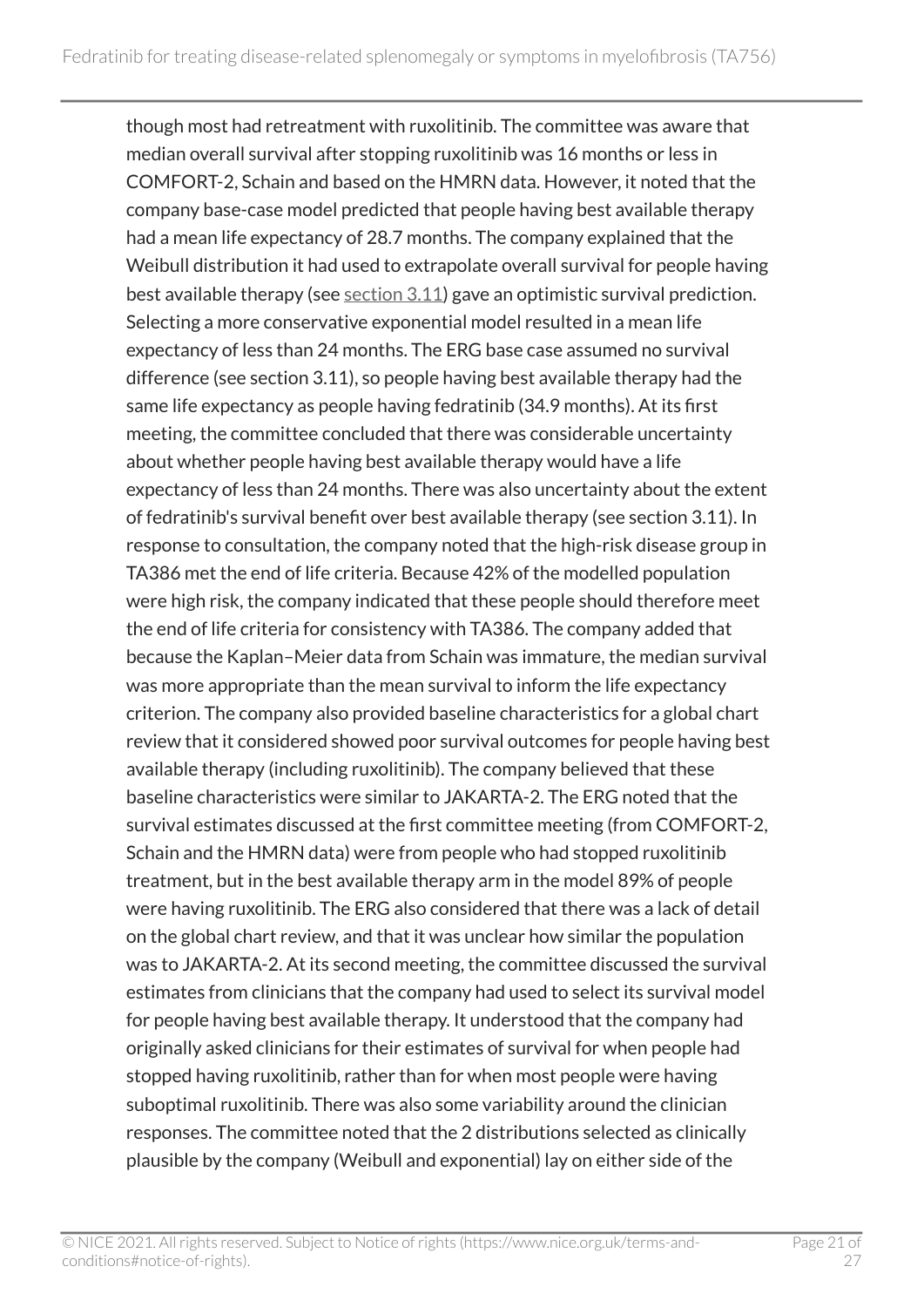though most had retreatment with ruxolitinib. The committee was aware that median overall survival after stopping ruxolitinib was 16 months or less in COMFORT-2, Schain and based on the HMRN data. However, it noted that the company base-case model predicted that people having best available therapy had a mean life expectancy of 28.7 months. The company explained that the Weibull distribution it had used to extrapolate overall survival for people having best available therapy (see  $section 3.11$  $section 3.11$ ) gave an optimistic survival prediction. Selecting a more conservative exponential model resulted in a mean life expectancy of less than 24 months. The ERG base case assumed no survival difference (see section 3.11), so people having best available therapy had the same life expectancy as people having fedratinib (34.9 months). At its first meeting, the committee concluded that there was considerable uncertainty about whether people having best available therapy would have a life expectancy of less than 24 months. There was also uncertainty about the extent of fedratinib's survival benefit over best available therapy (see section 3.11). In response to consultation, the company noted that the high-risk disease group in TA386 met the end of life criteria. Because 42% of the modelled population were high risk, the company indicated that these people should therefore meet the end of life criteria for consistency with TA386. The company added that because the Kaplan–Meier data from Schain was immature, the median survival was more appropriate than the mean survival to inform the life expectancy criterion. The company also provided baseline characteristics for a global chart review that it considered showed poor survival outcomes for people having best available therapy (including ruxolitinib). The company believed that these baseline characteristics were similar to JAKARTA-2. The ERG noted that the survival estimates discussed at the first committee meeting (from COMFORT-2, Schain and the HMRN data) were from people who had stopped ruxolitinib treatment, but in the best available therapy arm in the model 89% of people were having ruxolitinib. The ERG also considered that there was a lack of detail on the global chart review, and that it was unclear how similar the population was to JAKARTA-2. At its second meeting, the committee discussed the survival estimates from clinicians that the company had used to select its survival model for people having best available therapy. It understood that the company had originally asked clinicians for their estimates of survival for when people had stopped having ruxolitinib, rather than for when most people were having suboptimal ruxolitinib. There was also some variability around the clinician responses. The committee noted that the 2 distributions selected as clinically plausible by the company (Weibull and exponential) lay on either side of the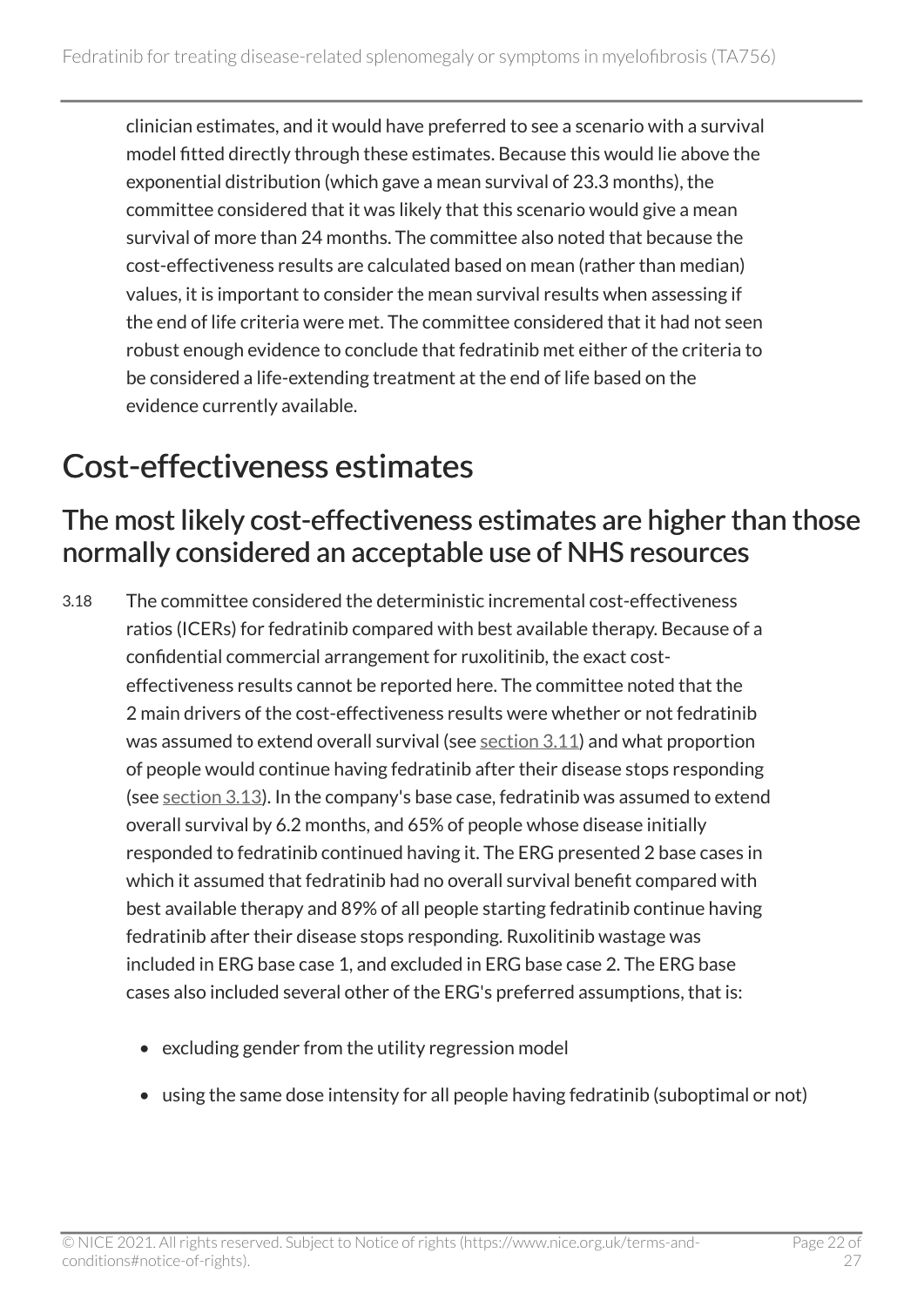clinician estimates, and it would have preferred to see a scenario with a survival model fitted directly through these estimates. Because this would lie above the exponential distribution (which gave a mean survival of 23.3 months), the committee considered that it was likely that this scenario would give a mean survival of more than 24 months. The committee also noted that because the cost-effectiveness results are calculated based on mean (rather than median) values, it is important to consider the mean survival results when assessing if the end of life criteria were met. The committee considered that it had not seen robust enough evidence to conclude that fedratinib met either of the criteria to be considered a life-extending treatment at the end of life based on the evidence currently available.

### <span id="page-21-0"></span>Cost-effectiveness estimates

#### <span id="page-21-1"></span>The most likely cost-effectiveness estimates are higher than those normally considered an acceptable use of NHS resources

3.18 The committee considered the deterministic incremental cost-effectiveness ratios (ICERs) for fedratinib compared with best available therapy. Because of a confidential commercial arrangement for ruxolitinib, the exact costeffectiveness results cannot be reported here. The committee noted that the 2 main drivers of the cost-effectiveness results were whether or not fedratinib was assumed to extend overall survival (see [section](#page-14-0) 3.11) and what proportion of people would continue having fedratinib after their disease stops responding (see [section](#page-16-0) 3.13). In the company's base case, fedratinib was assumed to extend overall survival by 6.2 months, and 65% of people whose disease initially responded to fedratinib continued having it. The ERG presented 2 base cases in which it assumed that fedratinib had no overall survival benefit compared with best available therapy and 89% of all people starting fedratinib continue having fedratinib after their disease stops responding. Ruxolitinib wastage was included in ERG base case 1, and excluded in ERG base case 2. The ERG base cases also included several other of the ERG's preferred assumptions, that is:

- excluding gender from the utility regression model
- using the same dose intensity for all people having fedratinib (suboptimal or not)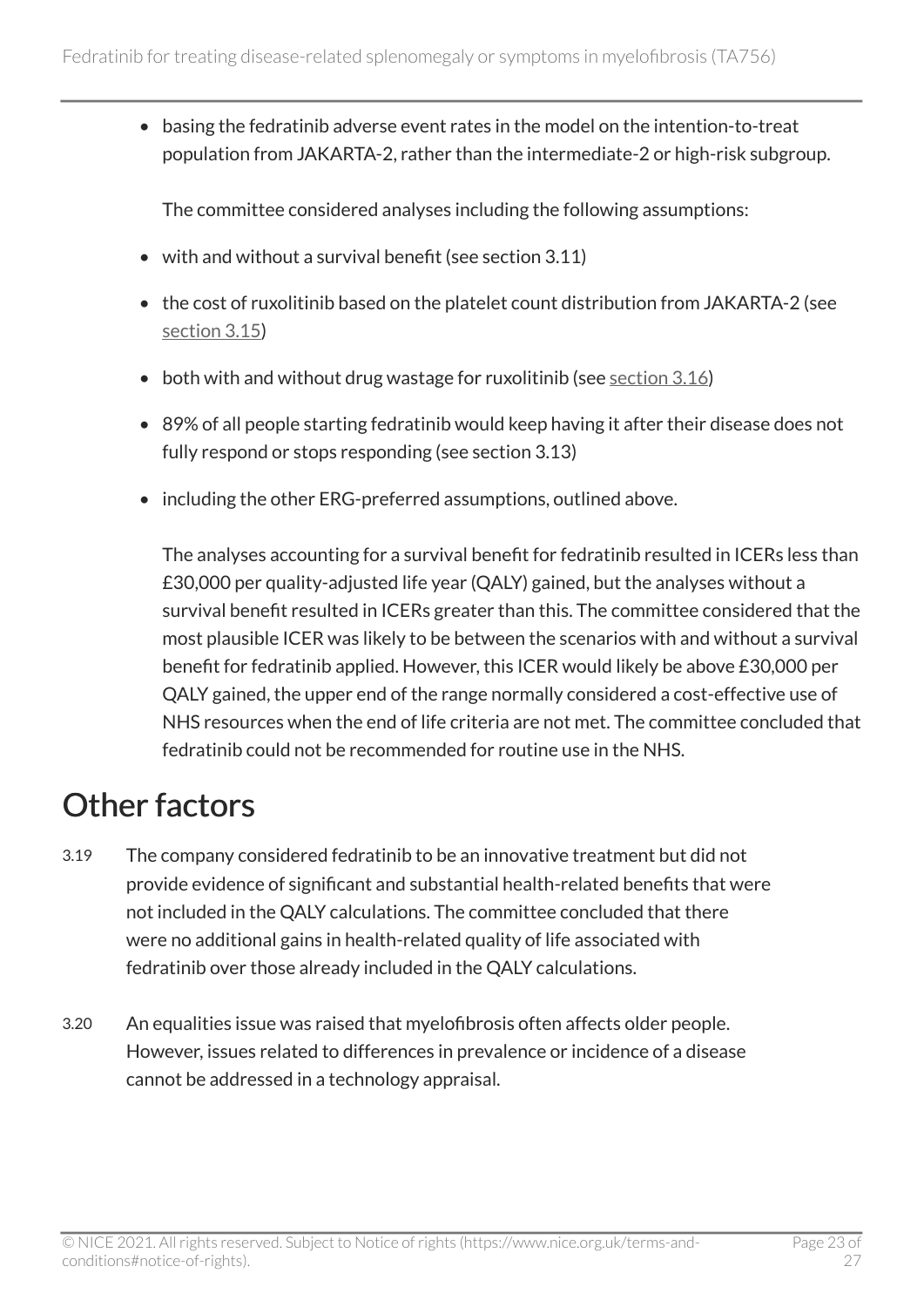• basing the fedratinib adverse event rates in the model on the intention-to-treat population from JAKARTA-2, rather than the intermediate-2 or high-risk subgroup.

The committee considered analyses including the following assumptions:

- with and without a survival benefit (see section 3.11)
- the cost of ruxolitinib based on the platelet count distribution from JAKARTA-2 (see [section 3.15](#page-18-1))
- both with and without drug wastage for ruxolitinib (see [section 3.16\)](#page-19-2)
- 89% of all people starting fedratinib would keep having it after their disease does not fully respond or stops responding (see section 3.13)
- including the other ERG-preferred assumptions, outlined above.

The analyses accounting for a survival benefit for fedratinib resulted in ICERs less than £30,000 per quality-adjusted life year (QALY) gained, but the analyses without a survival benefit resulted in ICERs greater than this. The committee considered that the most plausible ICER was likely to be between the scenarios with and without a survival benefit for fedratinib applied. However, this ICER would likely be above £30,000 per QALY gained, the upper end of the range normally considered a cost-effective use of NHS resources when the end of life criteria are not met. The committee concluded that fedratinib could not be recommended for routine use in the NHS.

### <span id="page-22-0"></span>Other factors

- 3.19 The company considered fedratinib to be an innovative treatment but did not provide evidence of significant and substantial health-related benefits that were not included in the QALY calculations. The committee concluded that there were no additional gains in health-related quality of life associated with fedratinib over those already included in the QALY calculations.
- 3.20 An equalities issue was raised that myelofibrosis often affects older people. However, issues related to differences in prevalence or incidence of a disease cannot be addressed in a technology appraisal.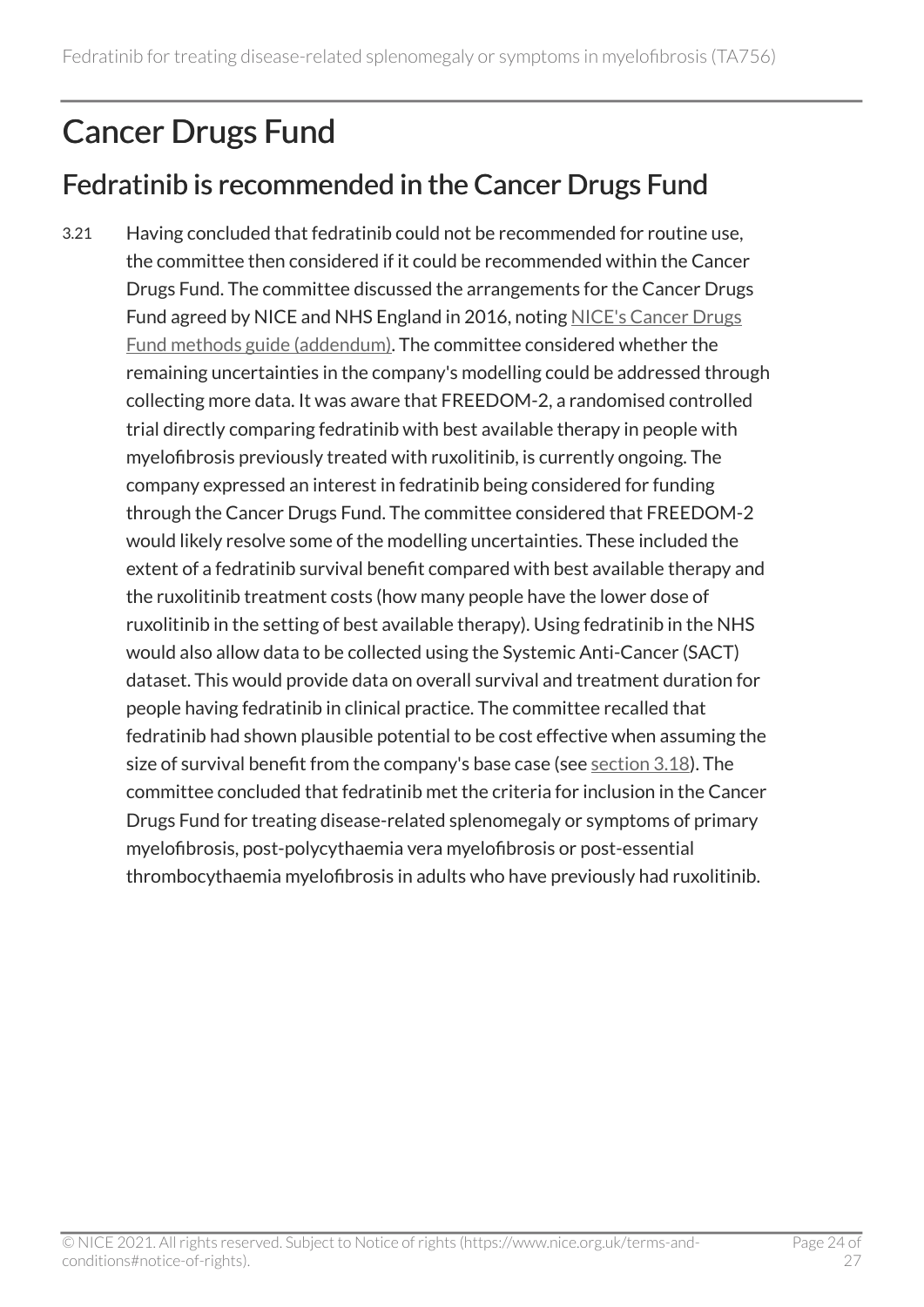## <span id="page-23-0"></span>Cancer Drugs Fund

#### Fedratinib is recommended in the Cancer Drugs Fund

3.21 Having concluded that fedratinib could not be recommended for routine use, the committee then considered if it could be recommended within the Cancer Drugs Fund. The committee discussed the arrangements for the Cancer Drugs Fund agreed by NICE and NHS England in 2016, noting [NICE's Cancer Drugs](https://www.nice.org.uk/about/what-we-do/our-programmes/nice-guidance/nice-technology-appraisal-guidance/cancer-drugs-fund) [Fund methods guide \(addendum\)](https://www.nice.org.uk/about/what-we-do/our-programmes/nice-guidance/nice-technology-appraisal-guidance/cancer-drugs-fund). The committee considered whether the remaining uncertainties in the company's modelling could be addressed through collecting more data. It was aware that FREEDOM-2, a randomised controlled trial directly comparing fedratinib with best available therapy in people with myelofibrosis previously treated with ruxolitinib, is currently ongoing. The company expressed an interest in fedratinib being considered for funding through the Cancer Drugs Fund. The committee considered that FREEDOM-2 would likely resolve some of the modelling uncertainties. These included the extent of a fedratinib survival benefit compared with best available therapy and the ruxolitinib treatment costs (how many people have the lower dose of ruxolitinib in the setting of best available therapy). Using fedratinib in the NHS would also allow data to be collected using the Systemic Anti-Cancer (SACT) dataset. This would provide data on overall survival and treatment duration for people having fedratinib in clinical practice. The committee recalled that fedratinib had shown plausible potential to be cost effective when assuming the size of survival benefit from the company's base case (see [section 3.18\)](#page-21-1). The committee concluded that fedratinib met the criteria for inclusion in the Cancer Drugs Fund for treating disease-related splenomegaly or symptoms of primary myelofibrosis, post-polycythaemia vera myelofibrosis or post-essential thrombocythaemia myelofibrosis in adults who have previously had ruxolitinib.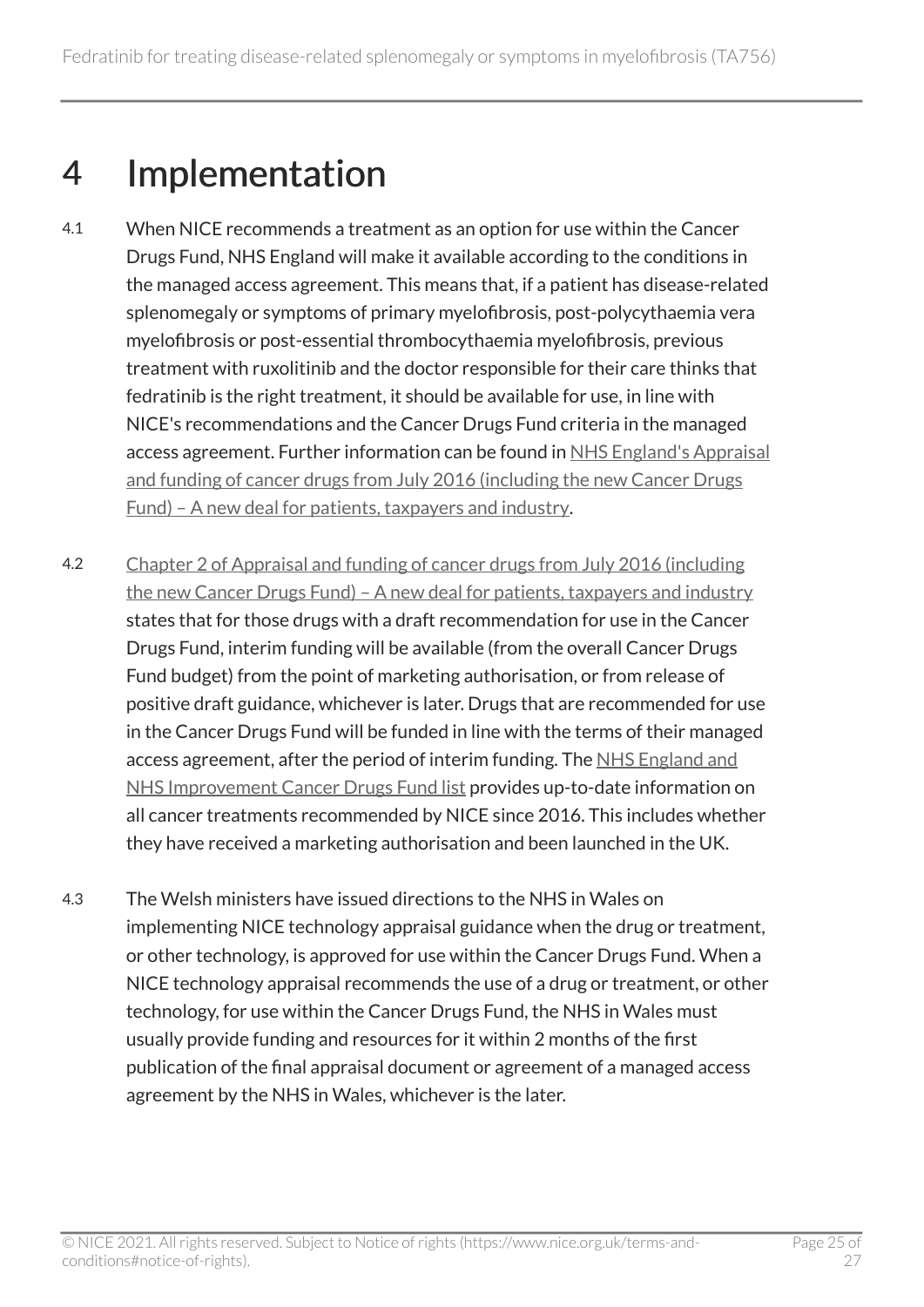## <span id="page-24-0"></span>4 Implementation

- 4.1 When NICE recommends a treatment as an option for use within the Cancer Drugs Fund, NHS England will make it available according to the conditions in the managed access agreement. This means that, if a patient has disease-related splenomegaly or symptoms of primary myelofibrosis, post-polycythaemia vera myelofibrosis or post-essential thrombocythaemia myelofibrosis, previous treatment with ruxolitinib and the doctor responsible for their care thinks that fedratinib is the right treatment, it should be available for use, in line with NICE's recommendations and the Cancer Drugs Fund criteria in the managed access agreement. Further information can be found in [NHS England's Appraisal](https://www.england.nhs.uk/cancer/cdf/) [and funding of cancer drugs from July 2016 \(including the new Cancer Drugs](https://www.england.nhs.uk/cancer/cdf/)  [Fund\) – A new deal for patients, taxpayers and industry](https://www.england.nhs.uk/cancer/cdf/).
- 4.2 [Chapter 2 of Appraisal and funding of cancer drugs from July 2016 \(including](https://www.england.nhs.uk/cancer/cdf/)  [the new Cancer Drugs Fund\) – A new deal for patients, taxpayers and industry](https://www.england.nhs.uk/cancer/cdf/) states that for those drugs with a draft recommendation for use in the Cancer Drugs Fund, interim funding will be available (from the overall Cancer Drugs Fund budget) from the point of marketing authorisation, or from release of positive draft guidance, whichever is later. Drugs that are recommended for use in the Cancer Drugs Fund will be funded in line with the terms of their managed access agreement, after the period of interim funding. The [NHS England and](https://www.england.nhs.uk/cancer/cdf/cancer-drugs-fund-list/) [NHS Improvement Cancer Drugs Fund list](https://www.england.nhs.uk/cancer/cdf/cancer-drugs-fund-list/) provides up-to-date information on all cancer treatments recommended by NICE since 2016. This includes whether they have received a marketing authorisation and been launched in the UK.
- 4.3 The Welsh ministers have issued directions to the NHS in Wales on implementing NICE technology appraisal guidance when the drug or treatment, or other technology, is approved for use within the Cancer Drugs Fund. When a NICE technology appraisal recommends the use of a drug or treatment, or other technology, for use within the Cancer Drugs Fund, the NHS in Wales must usually provide funding and resources for it within 2 months of the first publication of the final appraisal document or agreement of a managed access agreement by the NHS in Wales, whichever is the later.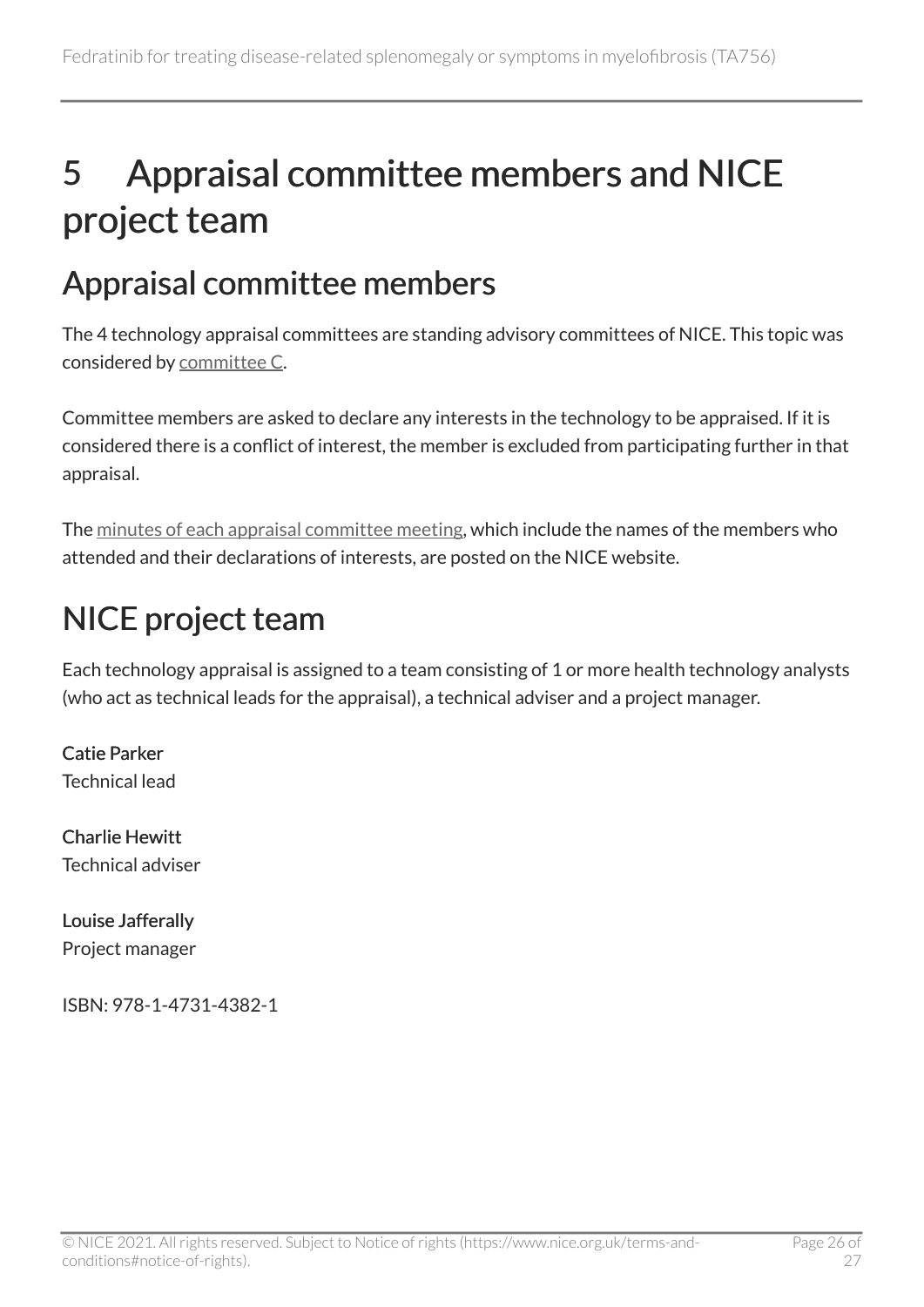## <span id="page-25-0"></span>5 Appraisal committee members and NICE project team

## <span id="page-25-1"></span>Appraisal committee members

The 4 technology appraisal committees are standing advisory committees of NICE. This topic was considered by [committee C](https://www.nice.org.uk/get-involved/meetings-in-public/technology-appraisal-committee/committee-c-members).

Committee members are asked to declare any interests in the technology to be appraised. If it is considered there is a conflict of interest, the member is excluded from participating further in that appraisal.

The [minutes of each appraisal committee meeting](https://www.nice.org.uk/get-involved/meetings-in-public/technology-appraisal-committee), which include the names of the members who attended and their declarations of interests, are posted on the NICE website.

## <span id="page-25-2"></span>NICE project team

Each technology appraisal is assigned to a team consisting of 1 or more health technology analysts (who act as technical leads for the appraisal), a technical adviser and a project manager.

Catie Parker Technical lead

Charlie Hewitt Technical adviser

Louise Jafferally Project manager

ISBN: 978-1-4731-4382-1